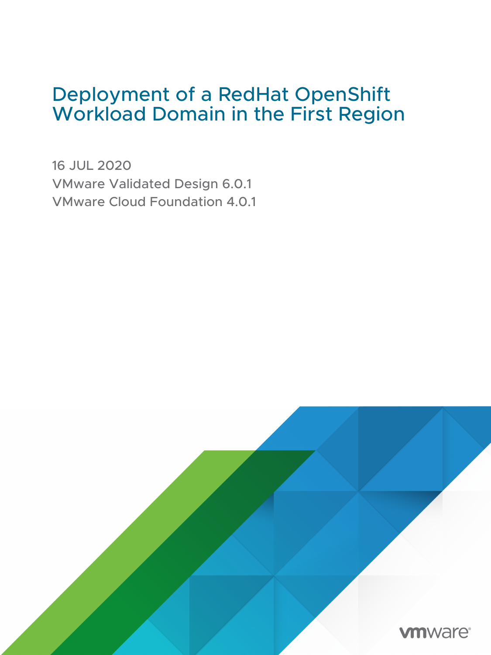# Deployment of a RedHat OpenShift Workload Domain in the First Region

16 JUL 2020 VMware Validated Design 6.0.1 VMware Cloud Foundation 4.0.1

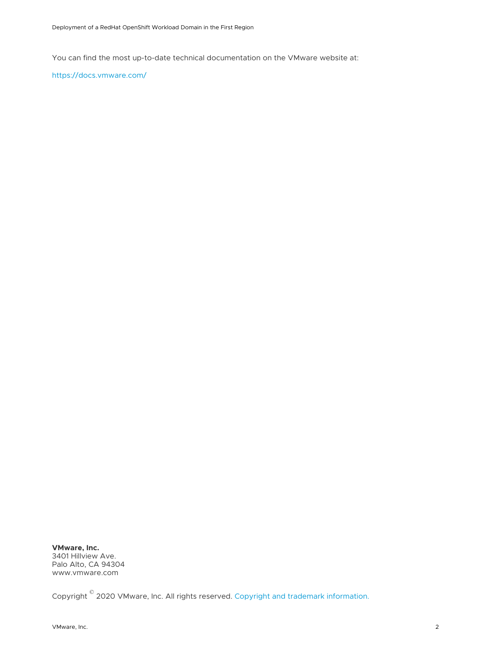You can find the most up-to-date technical documentation on the VMware website at:

<https://docs.vmware.com/>

**VMware, Inc.** 3401 Hillview Ave. Palo Alto, CA 94304 www.vmware.com

Copyright  $^\circ$  2020 VMware, Inc. All rights reserved. [Copyright and trademark information.](https://docs.vmware.com/copyright-trademark.html)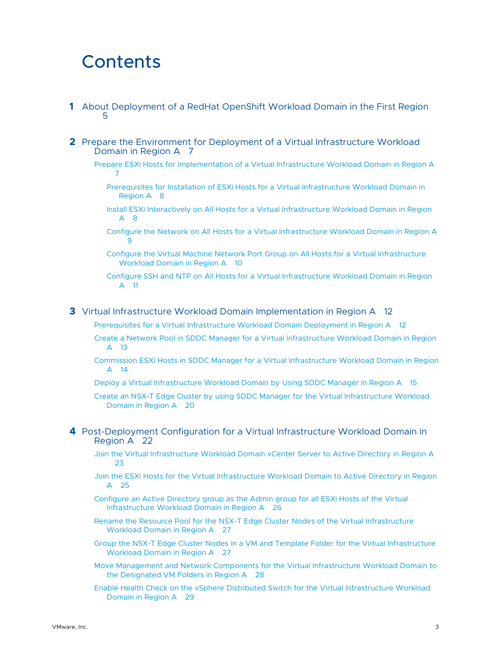# **Contents**

- **1** [About Deployment of a RedHat OpenShift Workload Domain in the First Region](#page-4-0) [5](#page-4-0)
- **2** [Prepare the Environment for Deployment of a Virtual Infrastructure Workload](#page-6-0)  [Domain in Region A](#page-6-0) 7
	- [Prepare ESXi Hosts for Implementation of a Virtual Infrastructure Workload Domain in Region A](#page-6-0) [7](#page-6-0)
		- [Prerequisites for Installation of ESXi Hosts for a Virtual Infrastructure Workload Domain in](#page-7-0) [Region A](#page-7-0) 8
		- [Install ESXi Interactively on All Hosts for a Virtual Infrastructure Workload Domain in Region](#page-7-0)  [A](#page-7-0) 8
		- [Configure the Network on All Hosts for a Virtual Infrastructure Workload Domain in Region A](#page-8-0) [9](#page-8-0)
		- [Configure the Virtual Machine Network Port Group on All Hosts for a Virtual Infrastructure](#page-9-0)  [Workload Domain in Region A](#page-9-0) 10
		- [Configure SSH and NTP on All Hosts for a Virtual Infrastructure Workload Domain in Region](#page-10-0)  [A](#page-10-0) 11
- **3** [Virtual Infrastructure Workload Domain Implementation in Region A](#page-11-0) 12
	- [Prerequisites for a Virtual Infrastructure Workload Domain Deployment in Region A](#page-11-0) 12
	- [Create a Network Pool in SDDC Manager for a Virtual Infrastructure Workload Domain in Region](#page-12-0) A [13](#page-12-0)
	- [Commission ESXi Hosts in SDDC Manager for a Virtual Infrastructure Workload Domain in Region](#page-13-0)  A [14](#page-13-0)
	- [Deploy a Virtual Infrastructure Workload Domain by Using SDDC Manager in Region A](#page-14-0) 15
	- [Create an NSX-T Edge Cluster by using SDDC Manager for the Virtual Infrastructure Workload](#page-19-0)  [Domain in Region A](#page-19-0) 20
- **4** [Post-Deployment Configuration for a Virtual Infrastructure Workload Domain in](#page-21-0)  [Region A](#page-21-0) 22
	- [Join the Virtual Infrastructure Workload Domain vCenter Server to Active Directory in Region A](#page-22-0)  $23$
	- [Join the ESXi Hosts for the Virtual Infrastructure Workload Domain to Active Directory in Region](#page-24-0)   $\Delta$  [25](#page-24-0)
	- [Configure an Active Directory group as the Admin group for all ESXi Hosts of the Virtual](#page-25-0)  [Infrastructure Workload Domain in Region A](#page-25-0) 26
	- [Rename the Resource Pool for the NSX-T Edge Cluster Nodes of the Virtual Infrastructure](#page-26-0)  [Workload Domain in Region A](#page-26-0) 27
	- [Group the NSX-T Edge Cluster Nodes in a VM and Template Folder for the Virtual Infrastructure](#page-26-0)  [Workload Domain in Region A](#page-26-0) 27
	- [Move Management and Network Components for the Virtual Infrastructure Workload Domain to](#page-27-0)  [the Designated VM Folders in Region A](#page-27-0) 28
	- [Enable Health Check on the vSphere Distributed Switch for the Virtual Infrastructure Workload](#page-28-0) [Domain in Region A](#page-28-0) 29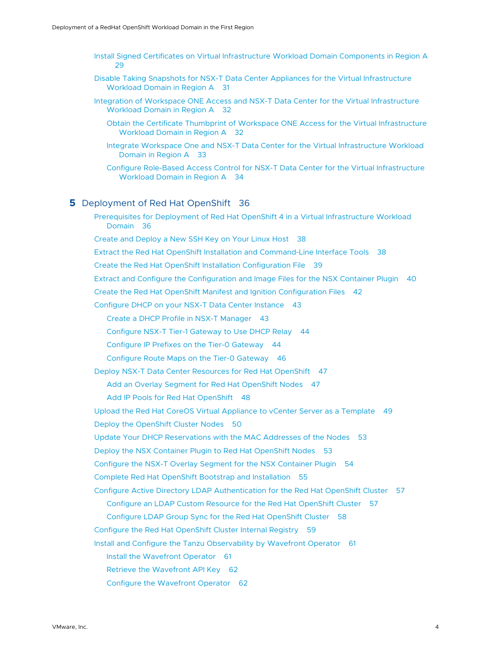- [Install Signed Certificates on Virtual Infrastructure Workload Domain Components in Region A](#page-28-0) [29](#page-28-0)
- [Disable Taking Snapshots for NSX-T Data Center Appliances for the Virtual Infrastructure](#page-30-0)  [Workload Domain in Region A](#page-30-0) 31
- [Integration of Workspace ONE Access and NSX-T Data Center for the Virtual Infrastructure](#page-31-0) [Workload Domain in Region A](#page-31-0) 32
	- [Obtain the Certificate Thumbprint of Workspace ONE Access for the Virtual Infrastructure](#page-31-0) [Workload Domain in Region A](#page-31-0) 32
	- [Integrate Workspace One and NSX-T Data Center for the Virtual Infrastructure Workload](#page-32-0)  [Domain in Region A](#page-32-0) 33
	- [Configure Role-Based Access Control for NSX-T Data Center for the Virtual Infrastructure](#page-33-0)  [Workload Domain in Region A](#page-33-0) 34

#### **5** [Deployment of Red Hat OpenShift](#page-35-0) 36

[Prerequisites for Deployment of Red Hat OpenShift 4 in a Virtual Infrastructure Workload](#page-35-0)  [Domain](#page-35-0) 36

[Create and Deploy a New SSH Key on Your Linux Host](#page-37-0) 38

[Extract the Red Hat OpenShift Installation and Command-Line Interface Tools](#page-37-0) 38

- [Create the Red Hat OpenShift Installation Configuration File](#page-38-0) 39
- [Extract and Configure the Configuration and Image Files for the NSX Container Plugin](#page-39-0) 40

[Create the Red Hat OpenShift Manifest and Ignition Configuration Files](#page-41-0) 42

[Configure DHCP on your NSX-T Data Center Instance](#page-42-0) 43

[Create a DHCP Profile in NSX-T Manager](#page-42-0) 43

[Configure NSX-T Tier-1 Gateway to Use DHCP Relay](#page-43-0) 44

[Configure IP Prefixes on the Tier-0 Gateway](#page-43-0) 44

[Configure Route Maps on the Tier-0 Gateway](#page-45-0) 46

[Deploy NSX-T Data Center Resources for Red Hat OpenShift](#page-46-0) 47

[Add an Overlay Segment for Red Hat OpenShift Nodes](#page-46-0) 47

[Add IP Pools for Red Hat OpenShift](#page-47-0) 48

[Upload the Red Hat CoreOS Virtual Appliance to vCenter Server as a Template](#page-48-0) 49

[Deploy the OpenShift Cluster Nodes](#page-49-0) 50

[Update Your DHCP Reservations with the MAC Addresses of the Nodes](#page-52-0) 53

[Deploy the NSX Container Plugin to Red Hat OpenShift Nodes](#page-52-0) 53

[Configure the NSX-T Overlay Segment for the NSX Container Plugin](#page-53-0) 54

[Complete Red Hat OpenShift Bootstrap and Installation](#page-54-0) 55

[Configure Active Directory LDAP Authentication for the Red Hat OpenShift Cluster](#page-56-0) 57

[Configure an LDAP Custom Resource for the Red Hat OpenShift Cluster](#page-56-0) 57

[Configure LDAP Group Sync for the Red Hat OpenShift Cluster](#page-57-0) 58

[Configure the Red Hat OpenShift Cluster Internal Registry](#page-58-0) 59

[Install and Configure the Tanzu Observability by Wavefront Operator](#page-60-0) 61

[Install the Wavefront Operator](#page-60-0) 61

[Retrieve the Wavefront API Key](#page-61-0) 62

[Configure the Wavefront Operator](#page-61-0) 62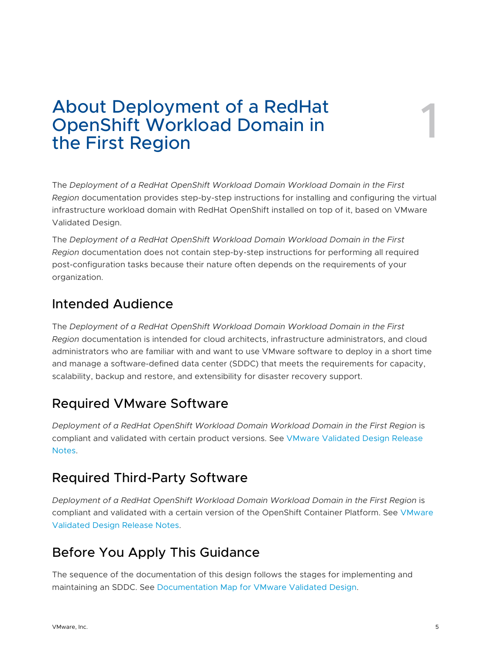# <span id="page-4-0"></span>About Deployment of a RedHat OpenShift Workload Domain in About Deployment of a RedHat<br>OpenShift Workload Domain in<br>the First Region

The *Deployment of a RedHat OpenShift Workload Domain Workload Domain in the First Region* documentation provides step-by-step instructions for installing and configuring the virtual infrastructure workload domain with RedHat OpenShift installed on top of it, based on VMware Validated Design.

The *Deployment of a RedHat OpenShift Workload Domain Workload Domain in the First Region* documentation does not contain step-by-step instructions for performing all required post-configuration tasks because their nature often depends on the requirements of your organization.

## Intended Audience

The *Deployment of a RedHat OpenShift Workload Domain Workload Domain in the First Region* documentation is intended for cloud architects, infrastructure administrators, and cloud administrators who are familiar with and want to use VMware software to deploy in a short time and manage a software-defined data center (SDDC) that meets the requirements for capacity, scalability, backup and restore, and extensibility for disaster recovery support.

## Required VMware Software

*Deployment of a RedHat OpenShift Workload Domain Workload Domain in the First Region* is compliant and validated with certain product versions. See [VMware Validated Design Release](https://docs.vmware.com/en/VMware-Validated-Design/6.0.1/rn/vmware-validated-design-601-release-notes.html)  [Notes.](https://docs.vmware.com/en/VMware-Validated-Design/6.0.1/rn/vmware-validated-design-601-release-notes.html)

## Required Third-Party Software

*Deployment of a RedHat OpenShift Workload Domain Workload Domain in the First Region* is compliant and validated with a certain version of the OpenShift Container Platform. See [VMware](https://docs.vmware.com/en/VMware-Validated-Design/6.0.1/rn/vmware-validated-design-601-release-notes.html) [Validated Design Release Notes.](https://docs.vmware.com/en/VMware-Validated-Design/6.0.1/rn/vmware-validated-design-601-release-notes.html)

## Before You Apply This Guidance

The sequence of the documentation of this design follows the stages for implementing and maintaining an SDDC. See [Documentation Map for VMware Validated Design](https://docs.vmware.com/en/VMware-Validated-Design/services/documentation-map/GUID-EE7CF703-7DE5-4478-9AEF-98F51812465D.html).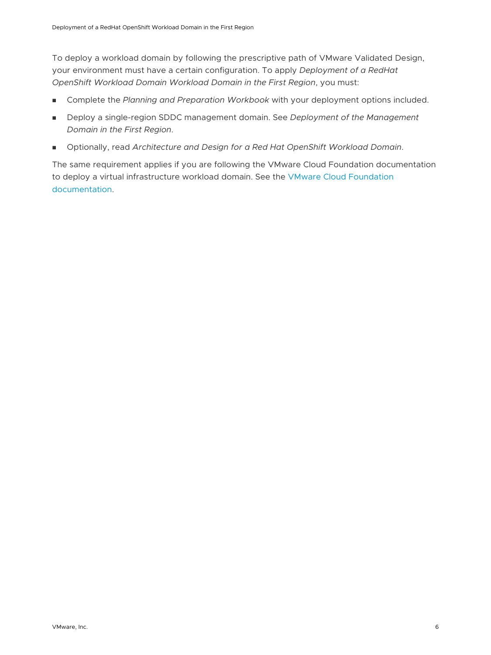To deploy a workload domain by following the prescriptive path of VMware Validated Design, your environment must have a certain configuration. To apply *Deployment of a RedHat OpenShift Workload Domain Workload Domain in the First Region*, you must:

- **n** Complete the Planning and Preparation Workbook with your deployment options included.
- Deploy a single-region SDDC management domain. See *Deployment of the Management Domain in the First Region*.
- <sup>n</sup> Optionally, read *Architecture and Design for a Red Hat OpenShift Workload Domain*.

The same requirement applies if you are following the VMware Cloud Foundation documentation to deploy a virtual infrastructure workload domain. See the [VMware Cloud Foundation](https://docs.vmware.com/en/VMware-Cloud-Foundation/index.html) [documentation](https://docs.vmware.com/en/VMware-Cloud-Foundation/index.html).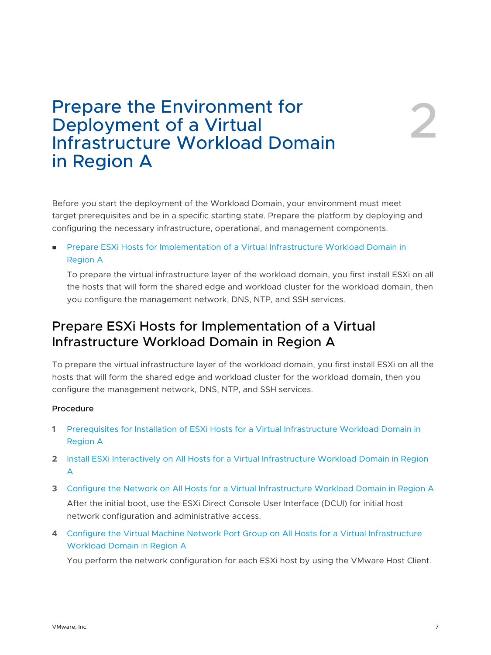# <span id="page-6-0"></span>Prepare the Environment for Deployment of a Virtual Infrastructure Workload Domain in Region A

Before you start the deployment of the Workload Domain, your environment must meet target prerequisites and be in a specific starting state. Prepare the platform by deploying and configuring the necessary infrastructure, operational, and management components.

**n Prepare ESXi Hosts for Implementation of a Virtual Infrastructure Workload Domain in** Region A

To prepare the virtual infrastructure layer of the workload domain, you first install ESXi on all the hosts that will form the shared edge and workload cluster for the workload domain, then you configure the management network, DNS, NTP, and SSH services.

## Prepare ESXi Hosts for Implementation of a Virtual Infrastructure Workload Domain in Region A

To prepare the virtual infrastructure layer of the workload domain, you first install ESXi on all the hosts that will form the shared edge and workload cluster for the workload domain, then you configure the management network, DNS, NTP, and SSH services.

#### Procedure

- **1** [Prerequisites for Installation of ESXi Hosts for a Virtual Infrastructure Workload Domain in](#page-7-0) [Region A](#page-7-0)
- **2** [Install ESXi Interactively on All Hosts for a Virtual Infrastructure Workload Domain in Region](#page-7-0) [A](#page-7-0)
- **3** [Configure the Network on All Hosts for a Virtual Infrastructure Workload Domain in Region A](#page-8-0) After the initial boot, use the ESXi Direct Console User Interface (DCUI) for initial host network configuration and administrative access.
- **4** [Configure the Virtual Machine Network Port Group on All Hosts for a Virtual Infrastructure](#page-9-0) [Workload Domain in Region A](#page-9-0)

You perform the network configuration for each ESXi host by using the VMware Host Client.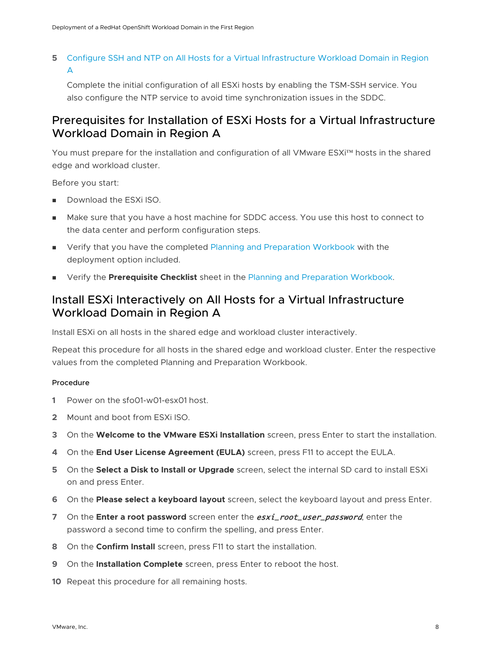### <span id="page-7-0"></span>**5** [Configure SSH and NTP on All Hosts for a Virtual Infrastructure Workload Domain in Region](#page-10-0)  [A](#page-10-0)

Complete the initial configuration of all ESXi hosts by enabling the TSM-SSH service. You also configure the NTP service to avoid time synchronization issues in the SDDC.

### Prerequisites for Installation of ESXi Hosts for a Virtual Infrastructure Workload Domain in Region A

You must prepare for the installation and configuration of all VMware ESXi™ hosts in the shared edge and workload cluster.

Before you start:

- Download the ESXi ISO.
- <sup>n</sup> Make sure that you have a host machine for SDDC access. You use this host to connect to the data center and perform configuration steps.
- **n** Verify that you have the completed [Planning and Preparation Workbook](https://docs.vmware.com/en/VMware-Validated-Design/6.0/vmware-validated-design-60-vmware-cloud-foundation-40-sddc-planning-and-preparation-workbook.zip) with the deployment option included.
- **n** Verify the **Prerequisite Checklist** sheet in the [Planning and Preparation Workbook.](https://docs.vmware.com/en/VMware-Validated-Design/6.0/vmware-validated-design-60-vmware-cloud-foundation-40-sddc-planning-and-preparation-workbook.zip)

### Install ESXi Interactively on All Hosts for a Virtual Infrastructure Workload Domain in Region A

Install ESXi on all hosts in the shared edge and workload cluster interactively.

Repeat this procedure for all hosts in the shared edge and workload cluster. Enter the respective values from the completed Planning and Preparation Workbook.

#### Procedure

- **1** Power on the sfo01-w01-esx01 host.
- **2** Mount and boot from ESXi ISO.
- **3** On the **Welcome to the VMware ESXi Installation** screen, press Enter to start the installation.
- **4** On the **End User License Agreement (EULA)** screen, press F11 to accept the EULA.
- **5** On the **Select a Disk to Install or Upgrade** screen, select the internal SD card to install ESXi on and press Enter.
- **6** On the **Please select a keyboard layout** screen, select the keyboard layout and press Enter.
- **7** On the **Enter a root password** screen enter the **esxi\_root\_user\_password**, enter the password a second time to confirm the spelling, and press Enter.
- **8** On the **Confirm Install** screen, press F11 to start the installation.
- **9** On the **Installation Complete** screen, press Enter to reboot the host.
- **10** Repeat this procedure for all remaining hosts.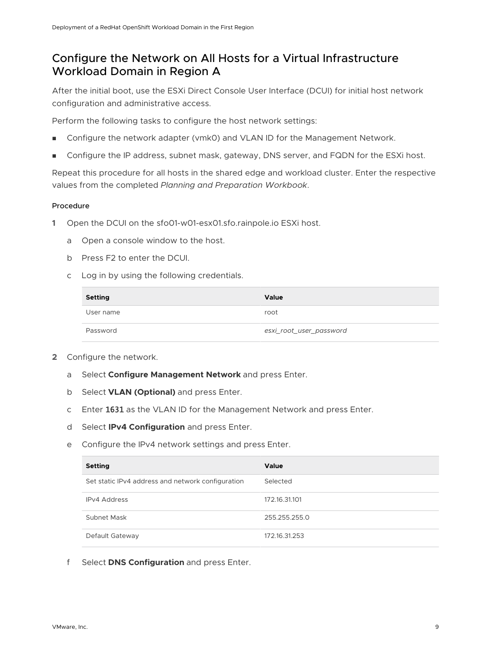### <span id="page-8-0"></span>Configure the Network on All Hosts for a Virtual Infrastructure Workload Domain in Region A

After the initial boot, use the ESXi Direct Console User Interface (DCUI) for initial host network configuration and administrative access.

Perform the following tasks to configure the host network settings:

- Configure the network adapter (vmk0) and VLAN ID for the Management Network.
- Configure the IP address, subnet mask, gateway, DNS server, and FQDN for the ESXi host.

Repeat this procedure for all hosts in the shared edge and workload cluster. Enter the respective values from the completed *Planning and Preparation Workbook*.

#### Procedure

- **1** Open the DCUI on the sfo01-w01-esx01.sfo.rainpole.io ESXi host.
	- a Open a console window to the host.
	- b Press F2 to enter the DCUI.
	- c Log in by using the following credentials.

| <b>Setting</b> | <b>Value</b>            |
|----------------|-------------------------|
| User name      | root                    |
| Password       | esxi_root_user_password |

- **2** Configure the network.
	- a Select **Configure Management Network** and press Enter.
	- b Select **VLAN (Optional)** and press Enter.
	- c Enter 1631 as the VLAN ID for the Management Network and press Enter.
	- d Select **IPv4 Configuration** and press Enter.
	- e Configure the IPv4 network settings and press Enter.

| <b>Setting</b>                                    | Value         |
|---------------------------------------------------|---------------|
| Set static IPv4 address and network configuration | Selected      |
| <b>IPv4 Address</b>                               | 172.16.31.101 |
| Subnet Mask                                       | 255.255.255.0 |
| Default Gateway                                   | 172.16.31.253 |

f Select **DNS Configuration** and press Enter.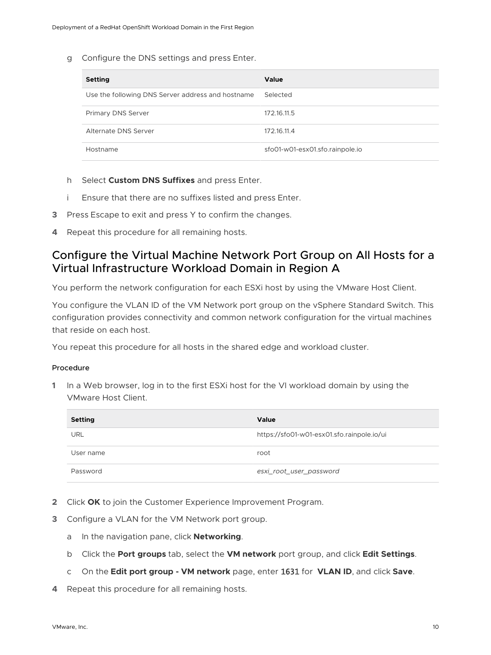<span id="page-9-0"></span>g Configure the DNS settings and press Enter.

| <b>Setting</b>                                    | <b>Value</b>                    |
|---------------------------------------------------|---------------------------------|
| Use the following DNS Server address and hostname | Selected                        |
| <b>Primary DNS Server</b>                         | 172.16.11.5                     |
| Alternate DNS Server                              | 172.16.11.4                     |
| Hostname                                          | sfo01-w01-esx01.sfo.rainpole.io |

- h Select **Custom DNS Suffixes** and press Enter.
- i Ensure that there are no suffixes listed and press Enter.
- **3** Press Escape to exit and press Y to confirm the changes.
- **4** Repeat this procedure for all remaining hosts.

### Configure the Virtual Machine Network Port Group on All Hosts for a Virtual Infrastructure Workload Domain in Region A

You perform the network configuration for each ESXi host by using the VMware Host Client.

You configure the VLAN ID of the VM Network port group on the vSphere Standard Switch. This configuration provides connectivity and common network configuration for the virtual machines that reside on each host.

You repeat this procedure for all hosts in the shared edge and workload cluster.

#### Procedure

**1** In a Web browser, log in to the first ESXi host for the VI workload domain by using the VMware Host Client.

| <b>Setting</b> | <b>Value</b>                               |
|----------------|--------------------------------------------|
| <b>URL</b>     | https://sfo01-w01-esx01.sfo.rainpole.io/ui |
| User name      | root                                       |
| Password       | esxi_root_user_password                    |

- **2** Click **OK** to join the Customer Experience Improvement Program.
- **3** Configure a VLAN for the VM Network port group.
	- a In the navigation pane, click **Networking**.
	- b Click the **Port groups** tab, select the **VM network** port group, and click **Edit Settings**.
	- c On the **Edit port group VM network** page, enter 1631 for **VLAN ID**, and click **Save**.
- **4** Repeat this procedure for all remaining hosts.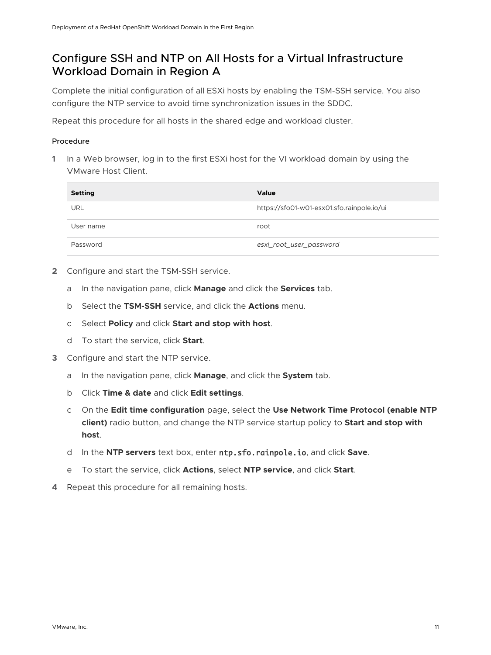### <span id="page-10-0"></span>Configure SSH and NTP on All Hosts for a Virtual Infrastructure Workload Domain in Region A

Complete the initial configuration of all ESXi hosts by enabling the TSM-SSH service. You also configure the NTP service to avoid time synchronization issues in the SDDC.

Repeat this procedure for all hosts in the shared edge and workload cluster.

#### Procedure

**1** In a Web browser, log in to the first ESXi host for the VI workload domain by using the VMware Host Client.

| <b>Setting</b> | <b>Value</b>                               |
|----------------|--------------------------------------------|
| URL            | https://sfo01-w01-esx01.sfo.rainpole.io/ui |
| User name      | root                                       |
| Password       | esxi_root_user_password                    |

- **2** Configure and start the TSM-SSH service.
	- a In the navigation pane, click **Manage** and click the **Services** tab.
	- b Select the **TSM-SSH** service, and click the **Actions** menu.
	- c Select **Policy** and click **Start and stop with host**.
	- d To start the service, click **Start**.
- **3** Configure and start the NTP service.
	- a In the navigation pane, click **Manage**, and click the **System** tab.
	- b Click **Time & date** and click **Edit settings**.
	- c On the **Edit time configuration** page, select the **Use Network Time Protocol (enable NTP client)** radio button, and change the NTP service startup policy to **Start and stop with host**.
	- d In the **NTP servers** text box, enter ntp.sfo.rainpole.io, and click **Save**.
	- e To start the service, click **Actions**, select **NTP service**, and click **Start**.
- **4** Repeat this procedure for all remaining hosts.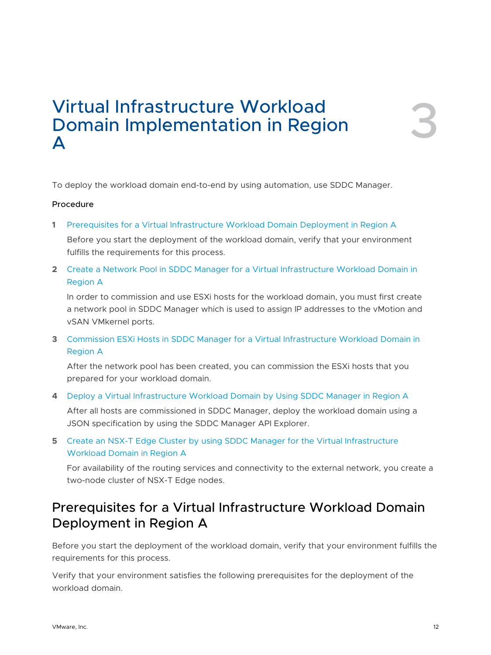# <span id="page-11-0"></span>Virtual Infrastructure Workload Domain Implementation in Region Virtual Infrastructure Workload<br>Domain Implementation in Region<br>A

To deploy the workload domain end-to-end by using automation, use SDDC Manager.

#### Procedure

**1** Prerequisites for a Virtual Infrastructure Workload Domain Deployment in Region A

Before you start the deployment of the workload domain, verify that your environment fulfills the requirements for this process.

**2** [Create a Network Pool in SDDC Manager for a Virtual Infrastructure Workload Domain in](#page-12-0)  [Region A](#page-12-0)

In order to commission and use ESXi hosts for the workload domain, you must first create a network pool in SDDC Manager which is used to assign IP addresses to the vMotion and vSAN VMkernel ports.

**3** [Commission ESXi Hosts in SDDC Manager for a Virtual Infrastructure Workload Domain in](#page-13-0) [Region A](#page-13-0)

After the network pool has been created, you can commission the ESXi hosts that you prepared for your workload domain.

**4** [Deploy a Virtual Infrastructure Workload Domain by Using SDDC Manager in Region A](#page-14-0)

After all hosts are commissioned in SDDC Manager, deploy the workload domain using a JSON specification by using the SDDC Manager API Explorer.

**5** [Create an NSX-T Edge Cluster by using SDDC Manager for the Virtual Infrastructure](#page-19-0)  [Workload Domain in Region A](#page-19-0)

For availability of the routing services and connectivity to the external network, you create a two-node cluster of NSX-T Edge nodes.

## Prerequisites for a Virtual Infrastructure Workload Domain Deployment in Region A

Before you start the deployment of the workload domain, verify that your environment fulfills the requirements for this process.

Verify that your environment satisfies the following prerequisites for the deployment of the workload domain.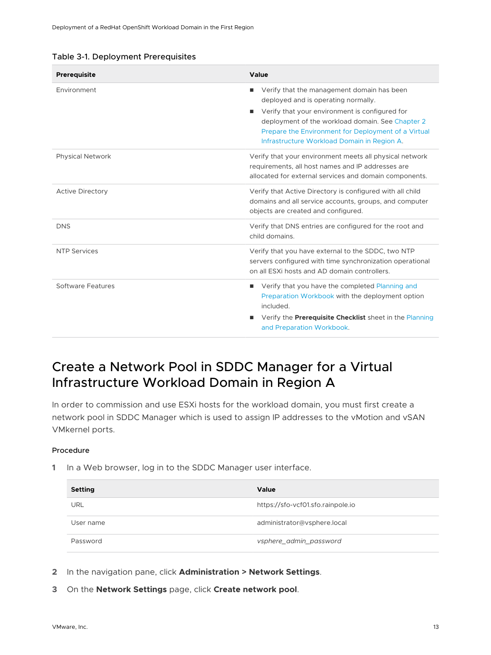<span id="page-12-0"></span>

|  |  | Table 3-1. Deployment Prerequisites |
|--|--|-------------------------------------|
|--|--|-------------------------------------|

| Prerequisite            | Value                                                                                                                                                                                                                                                                                                   |
|-------------------------|---------------------------------------------------------------------------------------------------------------------------------------------------------------------------------------------------------------------------------------------------------------------------------------------------------|
| Environment             | Verify that the management domain has been<br>٠<br>deployed and is operating normally.<br>Verify that your environment is configured for<br>٠<br>deployment of the workload domain. See Chapter 2<br>Prepare the Environment for Deployment of a Virtual<br>Infrastructure Workload Domain in Region A. |
| <b>Physical Network</b> | Verify that your environment meets all physical network<br>requirements, all host names and IP addresses are<br>allocated for external services and domain components.                                                                                                                                  |
| <b>Active Directory</b> | Verify that Active Directory is configured with all child<br>domains and all service accounts, groups, and computer<br>objects are created and configured.                                                                                                                                              |
| <b>DNS</b>              | Verify that DNS entries are configured for the root and<br>child domains.                                                                                                                                                                                                                               |
| <b>NTP Services</b>     | Verify that you have external to the SDDC, two NTP<br>servers configured with time synchronization operational<br>on all ESXi hosts and AD domain controllers.                                                                                                                                          |
| Software Features       | Verify that you have the completed Planning and<br>п<br>Preparation Workbook with the deployment option<br>included.<br>Verify the <b>Prerequisite Checklist</b> sheet in the Planning<br>п<br>and Preparation Workbook.                                                                                |

## Create a Network Pool in SDDC Manager for a Virtual Infrastructure Workload Domain in Region A

In order to commission and use ESXi hosts for the workload domain, you must first create a network pool in SDDC Manager which is used to assign IP addresses to the vMotion and vSAN VMkernel ports.

#### Procedure

| <b>Setting</b> | <b>Value</b>                      |
|----------------|-----------------------------------|
| <b>URL</b>     | https://sfo-vcf01.sfo.rainpole.io |
| User name      | administrator@vsphere.local       |
| Password       | vsphere_admin_password            |

- **2** In the navigation pane, click **Administration > Network Settings**.
- **3** On the **Network Settings** page, click **Create network pool**.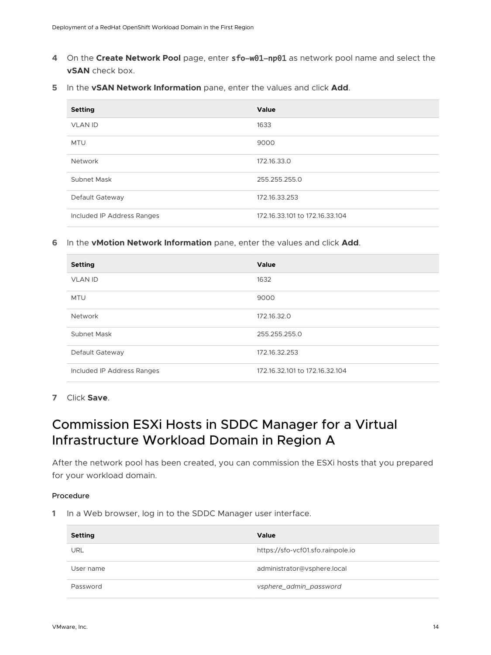- <span id="page-13-0"></span>**4** On the **Create Network Pool** page, enter sfo-w01-np01 as network pool name and select the **vSAN** check box.
- **5** In the **vSAN Network Information** pane, enter the values and click **Add**.

| <b>Setting</b>             | Value                          |
|----------------------------|--------------------------------|
| <b>VLAN ID</b>             | 1633                           |
| <b>MTU</b>                 | 9000                           |
| <b>Network</b>             | 172.16.33.0                    |
| Subnet Mask                | 255.255.255.0                  |
| Default Gateway            | 172.16.33.253                  |
| Included IP Address Ranges | 172.16.33.101 to 172.16.33.104 |

#### **6** In the **vMotion Network Information** pane, enter the values and click **Add**.

| <b>Setting</b>             | Value                          |
|----------------------------|--------------------------------|
| <b>VLAN ID</b>             | 1632                           |
| <b>MTU</b>                 | 9000                           |
| Network                    | 172.16.32.0                    |
| Subnet Mask                | 255.255.255.0                  |
| Default Gateway            | 172.16.32.253                  |
| Included IP Address Ranges | 172.16.32.101 to 172.16.32.104 |

**7** Click **Save**.

## Commission ESXi Hosts in SDDC Manager for a Virtual Infrastructure Workload Domain in Region A

After the network pool has been created, you can commission the ESXi hosts that you prepared for your workload domain.

#### Procedure

| <b>Setting</b> | Value                             |
|----------------|-----------------------------------|
| URL            | https://sfo-vcf01.sfo.rainpole.io |
| User name      | administrator@vsphere.local       |
| Password       | vsphere_admin_password            |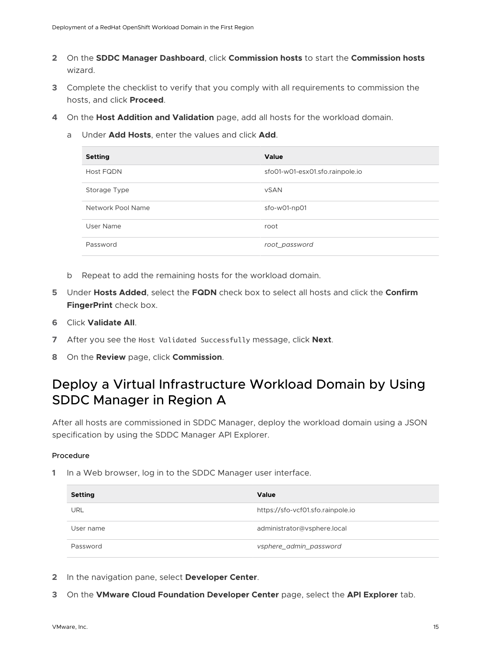- <span id="page-14-0"></span>**2** On the **SDDC Manager Dashboard**, click **Commission hosts** to start the **Commission hosts**  wizard.
- **3** Complete the checklist to verify that you comply with all requirements to commission the hosts, and click **Proceed**.
- **4** On the **Host Addition and Validation** page, add all hosts for the workload domain.
	- a Under **Add Hosts**, enter the values and click **Add**.

| <b>Setting</b>    | Value                           |
|-------------------|---------------------------------|
| <b>Host FQDN</b>  | sfo01-w01-esx01.sfo.rainpole.io |
| Storage Type      | <b>vSAN</b>                     |
| Network Pool Name | sfo-w01-np01                    |
| User Name         | root                            |
| Password          | root_password                   |

- b Repeat to add the remaining hosts for the workload domain.
- **5** Under **Hosts Added**, select the **FQDN** check box to select all hosts and click the **Confirm FingerPrint** check box.
- **6** Click **Validate All**.
- **7** After you see the Host Validated Successfully message, click **Next**.
- **8** On the **Review** page, click **Commission**.

## Deploy a Virtual Infrastructure Workload Domain by Using SDDC Manager in Region A

After all hosts are commissioned in SDDC Manager, deploy the workload domain using a JSON specification by using the SDDC Manager API Explorer.

#### Procedure

| <b>Setting</b> | Value                             |
|----------------|-----------------------------------|
| URL            | https://sfo-vcf01.sfo.rainpole.io |
| User name      | administrator@vsphere.local       |
| Password       | vsphere_admin_password            |

- **2** In the navigation pane, select **Developer Center**.
- **3** On the **VMware Cloud Foundation Developer Center** page, select the **API Explorer** tab.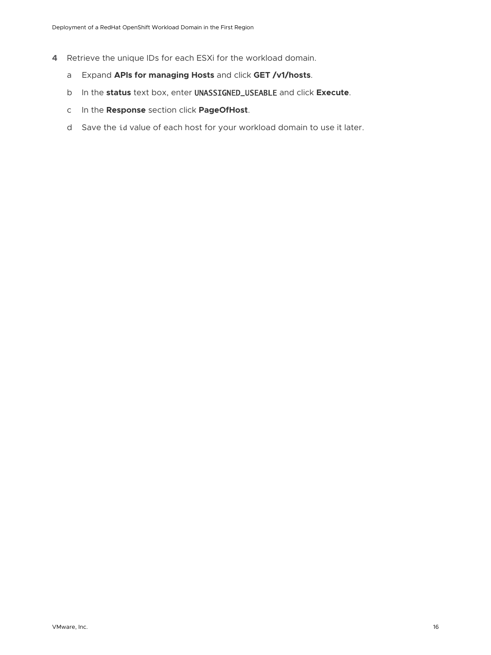- **4** Retrieve the unique IDs for each ESXi for the workload domain.
	- a Expand **APIs for managing Hosts** and click **GET /v1/hosts**.
	- b In the **status** text box, enter UNASSIGNED\_USEABLE and click **Execute**.
	- c In the **Response** section click **PageOfHost**.
	- d Save the id value of each host for your workload domain to use it later.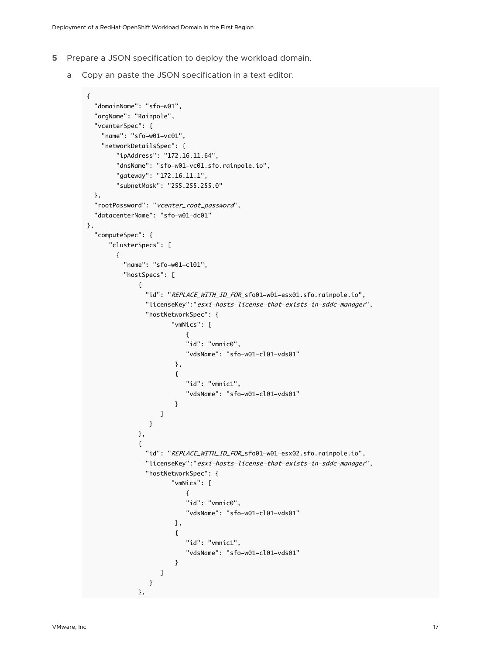- **5** Prepare a JSON specification to deploy the workload domain.
	- a Copy an paste the JSON specification in a text editor.

```
{
  "domainName": "sfo-w01",
  "orgName": "Rainpole",
  "vcenterSpec": {
    "name": "sfo-w01-vc01",
    "networkDetailsSpec": { 
       "ipAddress": "172.16.11.64",
       "dnsName": "sfo-w01-vc01.sfo.rainpole.io",
       "gateway": "172.16.11.1",
       "subnetMask": "255.255.255.0"
  },
  "rootPassword": "vcenter_root_password",
  "datacenterName": "sfo-w01-dc01"
},
  "computeSpec": {
      "clusterSpecs": [ 
       {
         "name": "sfo-w01-cl01",
         "hostSpecs": [
            {
             "id": "REPLACE_WITH_ID_FOR_sfo01-w01-esx01.sfo.rainpole.io",
              "licenseKey":"esxi-hosts-license-that-exists-in-sddc-manager",
              "hostNetworkSpec": {
                    "vmNics": [ 
{ }
                       "id": "vmnic0", 
                       "vdsName": "sfo-w01-cl01-vds01" 
 }, 
\{ "id": "vmnic1", 
                       "vdsName": "sfo-w01-cl01-vds01" 
 }
\blacksquare } 
            }, 
\{ "id": "REPLACE_WITH_ID_FOR_sfo01-w01-esx02.sfo.rainpole.io",
              "licenseKey":"esxi-hosts-license-that-exists-in-sddc-manager",
              "hostNetworkSpec": {
                    "vmNics": [ 
{ }
                       "id": "vmnic0", 
                       "vdsName": "sfo-w01-cl01-vds01" 
 }, 
\{ "id": "vmnic1", 
                       "vdsName": "sfo-w01-cl01-vds01" 
 }
\blacksquare } 
\},
```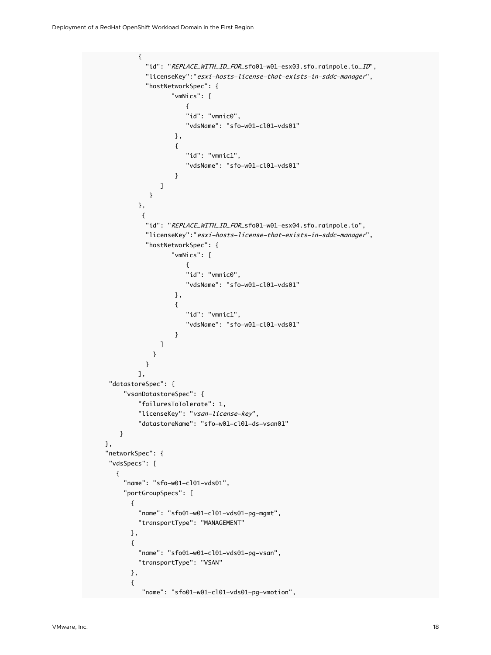```
\{"id": "REPLACE_WITH_ID_FOR_sfo01-w01-esx03.sfo.rainpole.io_ID",
                "licenseKey":"esxi-hosts-license-that-exists-in-sddc-manager",
                 "hostNetworkSpec": {
                        "vmNics": [ 
{ }
                           "id": "vmnic0", 
                            "vdsName": "sfo-w01-cl01-vds01" 
 }, 
\{ "id": "vmnic1", 
                            "vdsName": "sfo-w01-cl01-vds01" 
 }
\blacksquare } 
              }, 
\{"id": "REPLACE_WITH_ID_FOR_sfo01-w01-esx04.sfo.rainpole.io",
                "licenseKey":"esxi-hosts-license-that-exists-in-sddc-manager",
                "hostNetworkSpec": {
                       "vmNics": [ 
{ }
                           "id": "vmnic0", 
                            "vdsName": "sfo-w01-cl01-vds01" 
 }, 
\{ "id": "vmnic1", 
                            "vdsName": "sfo-w01-cl01-vds01" 
 }
\sim 100 \sim 100 \sim 100 \sim 100 \sim 100 \sim 100 \sim 100 \sim 100 \sim 100 \sim 100 \sim 100 \sim 100 \sim 100 \sim 100 \sim 100 \sim 100 \sim 100 \sim 100 \sim 100 \sim 100 \sim 100 \sim 100 \sim 100 \sim 100 \sim 
1996 1996 1996 1996 1997
 }
              ], 
      "datastoreSpec": {
          "vsanDatastoreSpec": {
              "failuresToTolerate": 1,
              "licenseKey": "vsan-license-key",
              "datastoreName": "sfo-w01-cl01-ds-vsan01" 
         } 
     }, 
     "networkSpec": {
      "vdsSpecs": [
        {
          "name": "sfo-w01-cl01-vds01",
          "portGroupSpecs": [
            {
              "name": "sfo01-w01-cl01-vds01-pg-mgmt",
              "transportType": "MANAGEMENT"
            },
\{ "name": "sfo01-w01-cl01-vds01-pg-vsan",
              "transportType": "VSAN"
            },
            {
                "name": "sfo01-w01-cl01-vds01-pg-vmotion",
```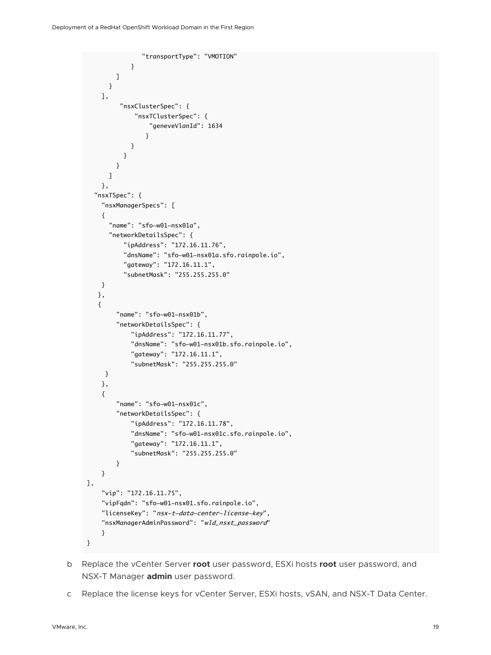```
 "transportType": "VMOTION"
 }
         ]
       }
     ],
          "nsxClusterSpec": {
              "nsxTClusterSpec": {
                   "geneveVlanId": 1634
 }
             }
           }
         }
       ]
     }, 
   "nsxTSpec": {
     "nsxManagerSpecs": [
     {
       "name": "sfo-w01-nsx01a",
       "networkDetailsSpec": {
           "ipAddress": "172.16.11.76",
           "dnsName": "sfo-w01-nsx01a.sfo.rainpole.io",
           "gateway": "172.16.11.1",
           "subnetMask": "255.255.255.0"
     }
    },
    {
         "name": "sfo-w01-nsx01b",
         "networkDetailsSpec": {
             "ipAddress": "172.16.11.77",
              "dnsName": "sfo-w01-nsx01b.sfo.rainpole.io",
              "gateway": "172.16.11.1",
             "subnetMask": "255.255.255.0"
      }
     },
     {
         "name": "sfo-w01-nsx01c",
         "networkDetailsSpec": {
             "ipAddress": "172.16.11.78",
              "dnsName": "sfo-w01-nsx01c.sfo.rainpole.io",
             "gateway": "172.16.11.1",
              "subnetMask": "255.255.255.0"
         }
     }
],
     "vip": "172.16.11.75",
     "vipFqdn": "sfo-w01-nsx01.sfo.rainpole.io",
     "licenseKey": "nsx-t-data-center-license-key",
     "nsxManagerAdminPassword": "wld_nsxt_password"
     }
}
```
- b Replace the vCenter Server **root** user password, ESXi hosts **root** user password, and NSX-T Manager **admin** user password.
- c Replace the license keys for vCenter Server, ESXi hosts, vSAN, and NSX-T Data Center.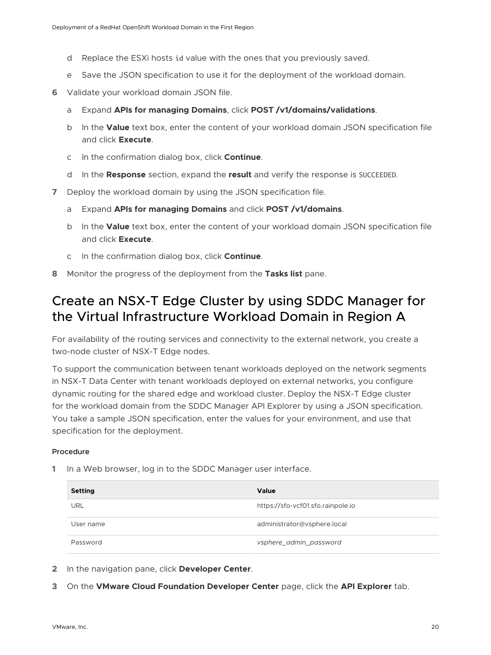- <span id="page-19-0"></span>d Replace the ESXi hosts id value with the ones that you previously saved.
- e Save the JSON specification to use it for the deployment of the workload domain.
- **6** Validate your workload domain JSON file.
	- a Expand **APIs for managing Domains**, click **POST /v1/domains/validations**.
	- b In the **Value** text box, enter the content of your workload domain JSON specification file and click **Execute**.
	- c In the confirmation dialog box, click **Continue**.
	- d In the **Response** section, expand the **result** and verify the response is SUCCEEDED.
- **7** Deploy the workload domain by using the JSON specification file.
	- a Expand **APIs for managing Domains** and click **POST /v1/domains**.
	- b In the **Value** text box, enter the content of your workload domain JSON specification file and click **Execute**.
	- c In the confirmation dialog box, click **Continue**.
- **8** Monitor the progress of the deployment from the **Tasks list** pane.

## Create an NSX-T Edge Cluster by using SDDC Manager for the Virtual Infrastructure Workload Domain in Region A

For availability of the routing services and connectivity to the external network, you create a two-node cluster of NSX-T Edge nodes.

To support the communication between tenant workloads deployed on the network segments in NSX-T Data Center with tenant workloads deployed on external networks, you configure dynamic routing for the shared edge and workload cluster. Deploy the NSX-T Edge cluster for the workload domain from the SDDC Manager API Explorer by using a JSON specification. You take a sample JSON specification, enter the values for your environment, and use that specification for the deployment.

#### Procedure

| <b>Setting</b> | <b>Value</b>                      |
|----------------|-----------------------------------|
| URL            | https://sfo-vcf01.sfo.rainpole.io |
| User name      | administrator@vsphere.local       |
| Password       | vsphere_admin_password            |

- **2** In the navigation pane, click **Developer Center**.
- **3** On the **VMware Cloud Foundation Developer Center** page, click the **API Explorer** tab.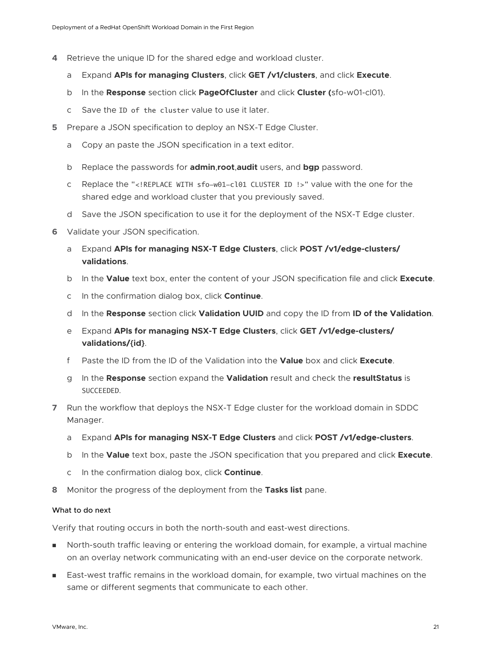- **4** Retrieve the unique ID for the shared edge and workload cluster.
	- a Expand **APIs for managing Clusters**, click **GET /v1/clusters**, and click **Execute**.
	- b In the **Response** section click **PageOfCluster** and click **Cluster (**sfo-w01-cl01).
	- c Save the ID of the cluster value to use it later.
- **5** Prepare a JSON specification to deploy an NSX-T Edge Cluster.
	- a Copy an paste the JSON specification in a text editor.
	- b Replace the passwords for **admin**,**root**,**audit** users, and **bgp** password.
	- c Replace the "<!REPLACE WITH sfo-w01-cl01 CLUSTER ID !>" value with the one for the shared edge and workload cluster that you previously saved.
	- d Save the JSON specification to use it for the deployment of the NSX-T Edge cluster.
- **6** Validate your JSON specification.
	- a Expand **APIs for managing NSX-T Edge Clusters**, click **POST /v1/edge-clusters/ validations**.
	- b In the **Value** text box, enter the content of your JSON specification file and click **Execute**.
	- c In the confirmation dialog box, click **Continue**.
	- d In the **Response** section click **Validation UUID** and copy the ID from **ID of the Validation**.
	- e Expand **APIs for managing NSX-T Edge Clusters**, click **GET /v1/edge-clusters/ validations/{id}**.
	- f Paste the ID from the ID of the Validation into the **Value** box and click **Execute**.
	- g In the **Response** section expand the **Validation** result and check the **resultStatus** is SUCCEEDED.
- **7** Run the workflow that deploys the NSX-T Edge cluster for the workload domain in SDDC Manager.
	- a Expand **APIs for managing NSX-T Edge Clusters** and click **POST /v1/edge-clusters**.
	- b In the **Value** text box, paste the JSON specification that you prepared and click **Execute**.
	- c In the confirmation dialog box, click **Continue**.
- **8** Monitor the progress of the deployment from the **Tasks list** pane.

#### What to do next

Verify that routing occurs in both the north-south and east-west directions.

- **n** North-south traffic leaving or entering the workload domain, for example, a virtual machine on an overlay network communicating with an end-user device on the corporate network.
- **East-west traffic remains in the workload domain, for example, two virtual machines on the** same or different segments that communicate to each other.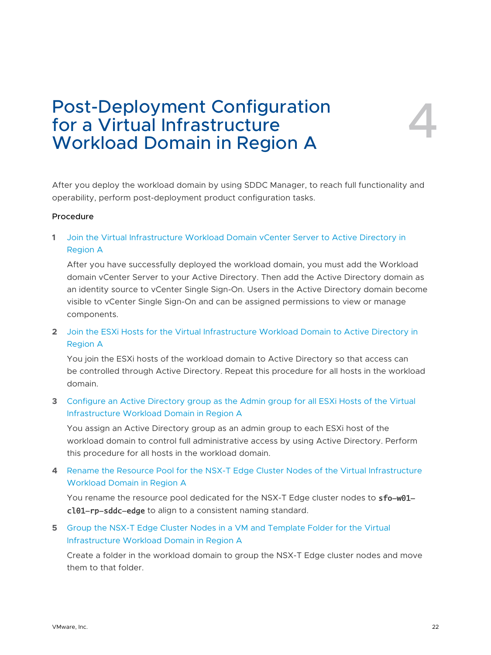# <span id="page-21-0"></span>Post-Deployment Configuration for a Virtual Infrastructure Workload Domain in Region A

After you deploy the workload domain by using SDDC Manager, to reach full functionality and operability, perform post-deployment product configuration tasks.

#### Procedure

**1** [Join the Virtual Infrastructure Workload Domain vCenter Server to Active Directory in](#page-22-0)  [Region A](#page-22-0)

After you have successfully deployed the workload domain, you must add the Workload domain vCenter Server to your Active Directory. Then add the Active Directory domain as an identity source to vCenter Single Sign-On. Users in the Active Directory domain become visible to vCenter Single Sign-On and can be assigned permissions to view or manage components.

**2** [Join the ESXi Hosts for the Virtual Infrastructure Workload Domain to Active Directory in](#page-24-0)  [Region A](#page-24-0)

You join the ESXi hosts of the workload domain to Active Directory so that access can be controlled through Active Directory. Repeat this procedure for all hosts in the workload domain.

**3** [Configure an Active Directory group as the Admin group for all ESXi Hosts of the Virtual](#page-25-0)  [Infrastructure Workload Domain in Region A](#page-25-0)

You assign an Active Directory group as an admin group to each ESXi host of the workload domain to control full administrative access by using Active Directory. Perform this procedure for all hosts in the workload domain.

**4** [Rename the Resource Pool for the NSX-T Edge Cluster Nodes of the Virtual Infrastructure](#page-26-0)  [Workload Domain in Region A](#page-26-0)

You rename the resource pool dedicated for the NSX-T Edge cluster nodes to **sfo-w01**cl01-rp-sddc-edge to align to a consistent naming standard.

### **5** [Group the NSX-T Edge Cluster Nodes in a VM and Template Folder for the Virtual](#page-26-0) [Infrastructure Workload Domain in Region A](#page-26-0)

Create a folder in the workload domain to group the NSX-T Edge cluster nodes and move them to that folder.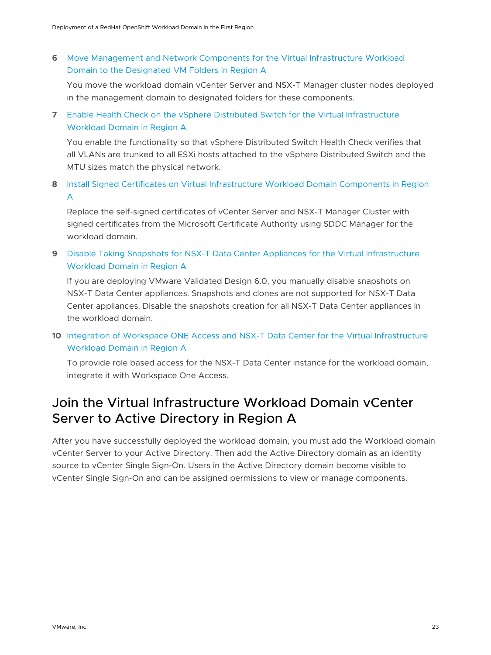<span id="page-22-0"></span>**6** [Move Management and Network Components for the Virtual Infrastructure Workload](#page-27-0) [Domain to the Designated VM Folders in Region A](#page-27-0)

You move the workload domain vCenter Server and NSX-T Manager cluster nodes deployed in the management domain to designated folders for these components.

**7** [Enable Health Check on the vSphere Distributed Switch for the Virtual Infrastructure](#page-28-0) [Workload Domain in Region A](#page-28-0)

You enable the functionality so that vSphere Distributed Switch Health Check verifies that all VLANs are trunked to all ESXi hosts attached to the vSphere Distributed Switch and the MTU sizes match the physical network.

**8** [Install Signed Certificates on Virtual Infrastructure Workload Domain Components in Region](#page-28-0) [A](#page-28-0)

Replace the self-signed certificates of vCenter Server and NSX-T Manager Cluster with signed certificates from the Microsoft Certificate Authority using SDDC Manager for the workload domain.

**9** [Disable Taking Snapshots for NSX-T Data Center Appliances for the Virtual Infrastructure](#page-30-0)  [Workload Domain in Region A](#page-30-0)

If you are deploying VMware Validated Design 6.0, you manually disable snapshots on NSX-T Data Center appliances. Snapshots and clones are not supported for NSX-T Data Center appliances. Disable the snapshots creation for all NSX-T Data Center appliances in the workload domain.

**10** [Integration of Workspace ONE Access and NSX-T Data Center for the Virtual Infrastructure](#page-31-0)  [Workload Domain in Region A](#page-31-0)

To provide role based access for the NSX-T Data Center instance for the workload domain, integrate it with Workspace One Access.

## Join the Virtual Infrastructure Workload Domain vCenter Server to Active Directory in Region A

After you have successfully deployed the workload domain, you must add the Workload domain vCenter Server to your Active Directory. Then add the Active Directory domain as an identity source to vCenter Single Sign-On. Users in the Active Directory domain become visible to vCenter Single Sign-On and can be assigned permissions to view or manage components.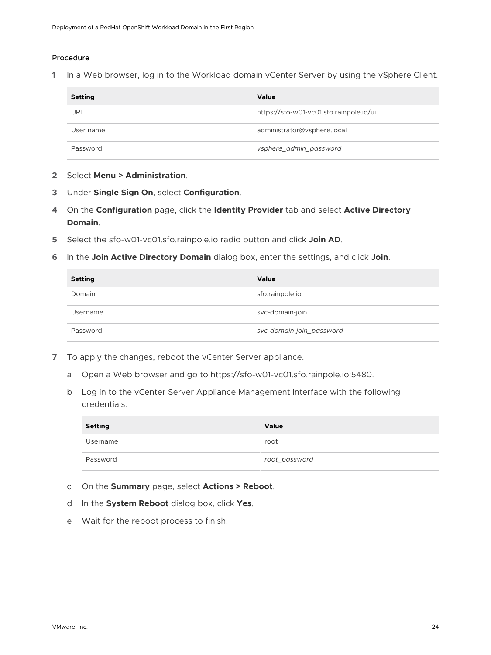#### Procedure

| Setting    | Value                                   |
|------------|-----------------------------------------|
| <b>URL</b> | https://sfo-w01-vc01.sfo.rainpole.io/ui |
| User name  | administrator@vsphere.local             |
| Password   | vsphere_admin_password                  |

- **2** Select **Menu > Administration**.
- **3** Under **Single Sign On**, select **Configuration**.
- **4** On the **Configuration** page, click the **Identity Provider** tab and select **Active Directory Domain**.
- **5** Select the sfo-w01-vc01.sfo.rainpole.io radio button and click **Join AD**.
- **6** In the **Join Active Directory Domain** dialog box, enter the settings, and click **Join**.

| <b>Setting</b> | Value                    |
|----------------|--------------------------|
| Domain         | sfo.rainpole.io          |
| Username       | svc-domain-join          |
| Password       | svc-domain-join_password |

- **7** To apply the changes, reboot the vCenter Server appliance.
	- a Open a Web browser and go to https://sfo-w01-vc01.sfo.rainpole.io:5480.
	- b Log in to the vCenter Server Appliance Management Interface with the following credentials.

| <b>Setting</b> | Value         |
|----------------|---------------|
| Username       | root          |
| Password       | root_password |

- c On the **Summary** page, select **Actions > Reboot**.
- d In the **System Reboot** dialog box, click **Yes**.
- e Wait for the reboot process to finish.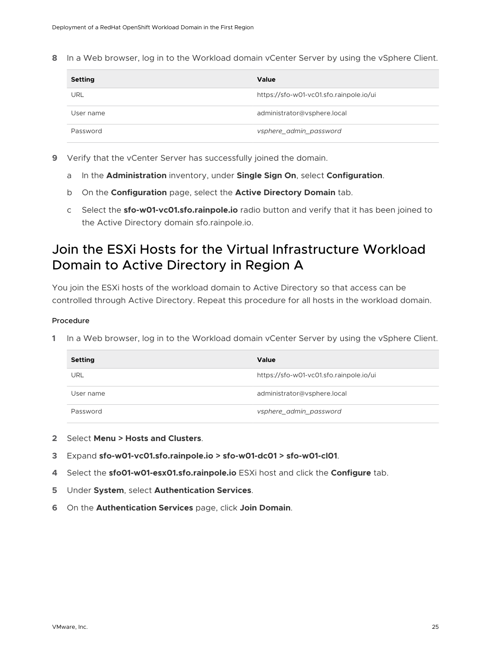<span id="page-24-0"></span>**8** In a Web browser, log in to the Workload domain vCenter Server by using the vSphere Client.

| <b>Setting</b> | Value                                   |
|----------------|-----------------------------------------|
| URL            | https://sfo-w01-vc01.sfo.rainpole.io/ui |
| User name      | administrator@vsphere.local             |
| Password       | vsphere_admin_password                  |

- **9** Verify that the vCenter Server has successfully joined the domain.
	- a In the **Administration** inventory, under **Single Sign On**, select **Configuration**.
	- b On the **Configuration** page, select the **Active Directory Domain** tab.
	- c Select the **sfo-w01-vc01.sfo.rainpole.io** radio button and verify that it has been joined to the Active Directory domain sfo.rainpole.io.

## Join the ESXi Hosts for the Virtual Infrastructure Workload Domain to Active Directory in Region A

You join the ESXi hosts of the workload domain to Active Directory so that access can be controlled through Active Directory. Repeat this procedure for all hosts in the workload domain.

#### Procedure

| <b>Setting</b> | Value                                   |
|----------------|-----------------------------------------|
| URL            | https://sfo-w01-vc01.sfo.rainpole.io/ui |
| User name      | administrator@vsphere.local             |
| Password       | vsphere_admin_password                  |

- **2** Select **Menu > Hosts and Clusters**.
- **3** Expand **sfo-w01-vc01.sfo.rainpole.io > sfo-w01-dc01 > sfo-w01-cl01**.
- **4** Select the **sfo01-w01-esx01.sfo.rainpole.io** ESXi host and click the **Configure** tab.
- **5** Under **System**, select **Authentication Services**.
- **6** On the **Authentication Services** page, click **Join Domain**.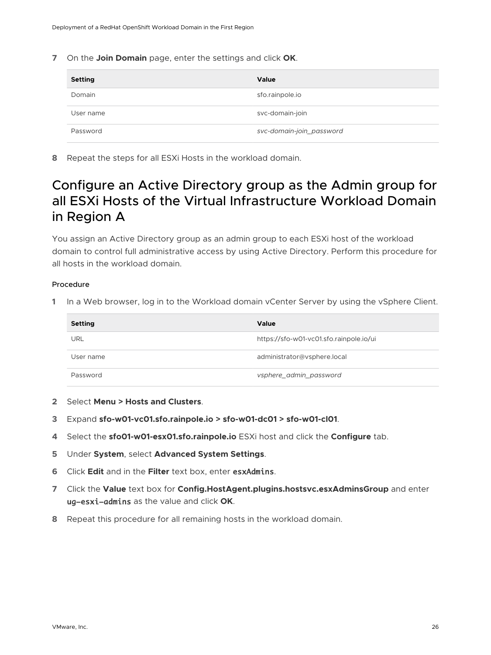<span id="page-25-0"></span>**7** On the **Join Domain** page, enter the settings and click **OK**.

| <b>Setting</b> | Value                    |
|----------------|--------------------------|
| Domain         | sfo.rainpole.io          |
| User name      | svc-domain-join          |
| Password       | svc-domain-join_password |

**8** Repeat the steps for all ESXi Hosts in the workload domain.

## Configure an Active Directory group as the Admin group for all ESXi Hosts of the Virtual Infrastructure Workload Domain in Region A

You assign an Active Directory group as an admin group to each ESXi host of the workload domain to control full administrative access by using Active Directory. Perform this procedure for all hosts in the workload domain.

#### Procedure

| <b>Setting</b> | <b>Value</b>                            |
|----------------|-----------------------------------------|
| URL            | https://sfo-w01-vc01.sfo.rainpole.io/ui |
| User name      | administrator@vsphere.local             |
| Password       | vsphere_admin_password                  |

- **2** Select **Menu > Hosts and Clusters**.
- **3** Expand **sfo-w01-vc01.sfo.rainpole.io > sfo-w01-dc01 > sfo-w01-cl01**.
- **4** Select the **sfo01-w01-esx01.sfo.rainpole.io** ESXi host and click the **Configure** tab.
- **5** Under **System**, select **Advanced System Settings**.
- **6** Click **Edit** and in the **Filter** text box, enter esxAdmins.
- **7** Click the **Value** text box for **Config.HostAgent.plugins.hostsvc.esxAdminsGroup** and enter ug-esxi-admins as the value and click **OK**.
- **8** Repeat this procedure for all remaining hosts in the workload domain.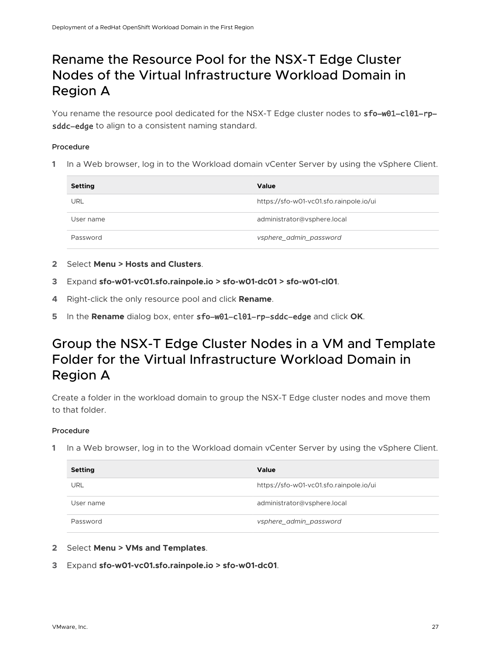## <span id="page-26-0"></span>Rename the Resource Pool for the NSX-T Edge Cluster Nodes of the Virtual Infrastructure Workload Domain in Region A

You rename the resource pool dedicated for the NSX-T Edge cluster nodes to sfo-w01-cl01-rpsddc-edge to align to a consistent naming standard.

#### Procedure

**1** In a Web browser, log in to the Workload domain vCenter Server by using the vSphere Client.

| <b>Setting</b> | Value                                   |
|----------------|-----------------------------------------|
| <b>URL</b>     | https://sfo-w01-vc01.sfo.rainpole.io/ui |
| User name      | administrator@vsphere.local             |
| Password       | vsphere_admin_password                  |

- **2** Select **Menu > Hosts and Clusters**.
- **3** Expand **sfo-w01-vc01.sfo.rainpole.io > sfo-w01-dc01 > sfo-w01-cl01**.
- **4** Right-click the only resource pool and click **Rename**.
- **5** In the **Rename** dialog box, enter sfo-w01-cl01-rp-sddc-edge and click **OK**.

## Group the NSX-T Edge Cluster Nodes in a VM and Template Folder for the Virtual Infrastructure Workload Domain in Region A

Create a folder in the workload domain to group the NSX-T Edge cluster nodes and move them to that folder.

#### Procedure

| <b>Setting</b> | Value                                   |
|----------------|-----------------------------------------|
| URL            | https://sfo-w01-vc01.sfo.rainpole.io/ui |
| User name      | administrator@vsphere.local             |
| Password       | vsphere_admin_password                  |

- **2** Select **Menu > VMs and Templates**.
- **3** Expand **sfo-w01-vc01.sfo.rainpole.io > sfo-w01-dc01**.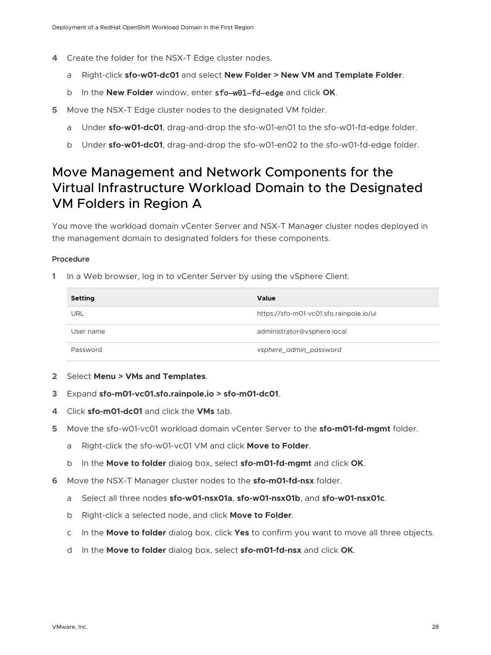- <span id="page-27-0"></span>**4** Create the folder for the NSX-T Edge cluster nodes.
	- a Right-click **sfo-w01-dc01** and select **New Folder > New VM and Template Folder**.
	- b In the **New Folder** window, enter sfo-w01-fd-edge and click **OK**.
- **5** Move the NSX-T Edge cluster nodes to the designated VM folder.
	- a Under **sfo-w01-dc01**, drag-and-drop the sfo-w01-en01 to the sfo-w01-fd-edge folder.
	- b Under **sfo-w01-dc01**, drag-and-drop the sfo-w01-en02 to the sfo-w01-fd-edge folder.

## Move Management and Network Components for the Virtual Infrastructure Workload Domain to the Designated VM Folders in Region A

You move the workload domain vCenter Server and NSX-T Manager cluster nodes deployed in the management domain to designated folders for these components.

#### Procedure

**1** In a Web browser, log in to vCenter Server by using the vSphere Client.

| Setting   | Value                                   |
|-----------|-----------------------------------------|
| URL       | https://sfo-m01-vc01.sfo.rainpole.io/ui |
| User name | administrator@vsphere.local             |
| Password  | vsphere_admin_password                  |

- **2** Select **Menu > VMs and Templates**.
- **3** Expand **sfo-m01-vc01.sfo.rainpole.io > sfo-m01-dc01**.
- **4** Click **sfo-m01-dc01** and click the **VMs** tab.
- **5** Move the sfo-w01-vc01 workload domain vCenter Server to the **sfo-m01-fd-mgmt** folder.
	- a Right-click the sfo-w01-vc01 VM and click **Move to Folder**.
	- b In the **Move to folder** dialog box, select **sfo-m01-fd-mgmt** and click **OK**.
- **6** Move the NSX-T Manager cluster nodes to the **sfo-m01-fd-nsx** folder.
	- a Select all three nodes **sfo-w01-nsx01a**, **sfo-w01-nsx01b**, and **sfo-w01-nsx01c**.
	- b Right-click a selected node, and click **Move to Folder**.
	- c In the **Move to folder** dialog box, click **Yes** to confirm you want to move all three objects.
	- d In the **Move to folder** dialog box, select **sfo-m01-fd-nsx** and click **OK**.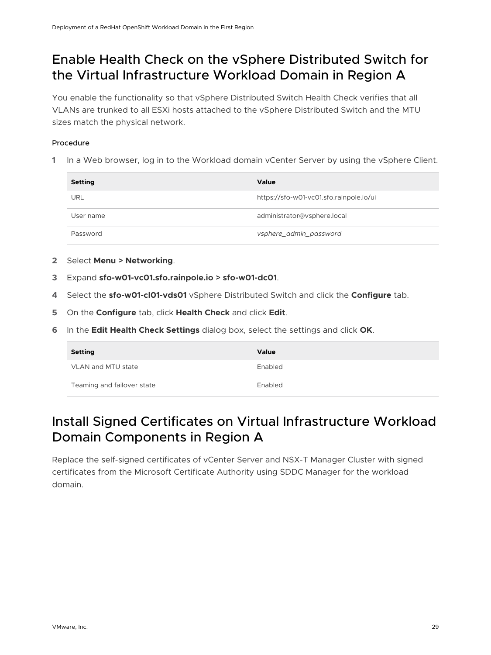## <span id="page-28-0"></span>Enable Health Check on the vSphere Distributed Switch for the Virtual Infrastructure Workload Domain in Region A

You enable the functionality so that vSphere Distributed Switch Health Check verifies that all VLANs are trunked to all ESXi hosts attached to the vSphere Distributed Switch and the MTU sizes match the physical network.

#### Procedure

**1** In a Web browser, log in to the Workload domain vCenter Server by using the vSphere Client.

| <b>Setting</b> | Value                                   |
|----------------|-----------------------------------------|
| URL            | https://sfo-w01-vc01.sfo.rainpole.io/ui |
| User name      | administrator@vsphere.local             |
| Password       | vsphere_admin_password                  |

- **2** Select **Menu > Networking**.
- **3** Expand **sfo-w01-vc01.sfo.rainpole.io > sfo-w01-dc01**.
- **4** Select the **sfo-w01-cl01-vds01** vSphere Distributed Switch and click the **Configure** tab.
- **5** On the **Configure** tab, click **Health Check** and click **Edit**.
- **6** In the **Edit Health Check Settings** dialog box, select the settings and click **OK**.

| <b>Setting</b>             | Value   |
|----------------------------|---------|
| VLAN and MTU state         | Enabled |
| Teaming and failover state | Enabled |

## Install Signed Certificates on Virtual Infrastructure Workload Domain Components in Region A

Replace the self-signed certificates of vCenter Server and NSX-T Manager Cluster with signed certificates from the Microsoft Certificate Authority using SDDC Manager for the workload domain.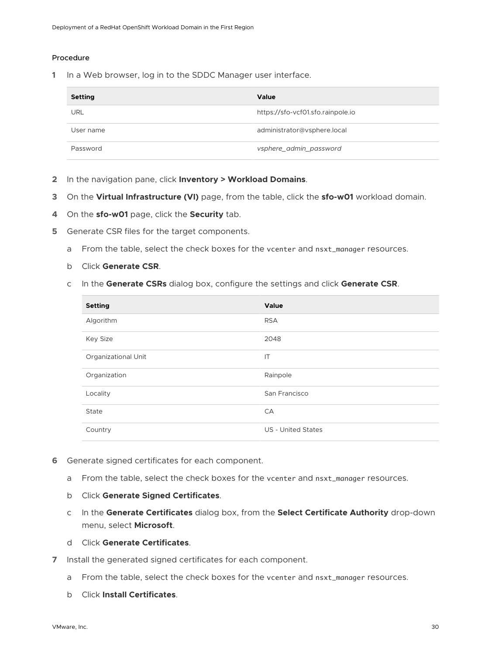#### Procedure

| <b>Setting</b> | Value                             |
|----------------|-----------------------------------|
| URL            | https://sfo-vcf01.sfo.rainpole.io |
| User name      | administrator@vsphere.local       |
| Password       | vsphere_admin_password            |

- **2** In the navigation pane, click **Inventory > Workload Domains**.
- **3** On the **Virtual Infrastructure (VI)** page, from the table, click the **sfo-w01** workload domain.
- **4** On the **sfo-w01** page, click the **Security** tab.
- **5** Generate CSR files for the target components.
	- a From the table, select the check boxes for the vcenter and nsxt\_manager resources.
	- b Click **Generate CSR**.
	- c In the **Generate CSRs** dialog box, configure the settings and click **Generate CSR**.

| <b>Setting</b>      | Value                     |
|---------------------|---------------------------|
| Algorithm           | <b>RSA</b>                |
| <b>Key Size</b>     | 2048                      |
| Organizational Unit | IT                        |
| Organization        | Rainpole                  |
| Locality            | San Francisco             |
| State               | CA                        |
| Country             | <b>US - United States</b> |

- **6** Generate signed certificates for each component.
	- a From the table, select the check boxes for the vcenter and nsxt\_manager resources.
	- b Click **Generate Signed Certificates**.
	- c In the **Generate Certificates** dialog box, from the **Select Certificate Authority** drop-down menu, select **Microsoft**.
	- d Click **Generate Certificates**.
- **7** Install the generated signed certificates for each component.
	- a From the table, select the check boxes for the vcenter and nsxt\_manager resources.
	- b Click **Install Certificates**.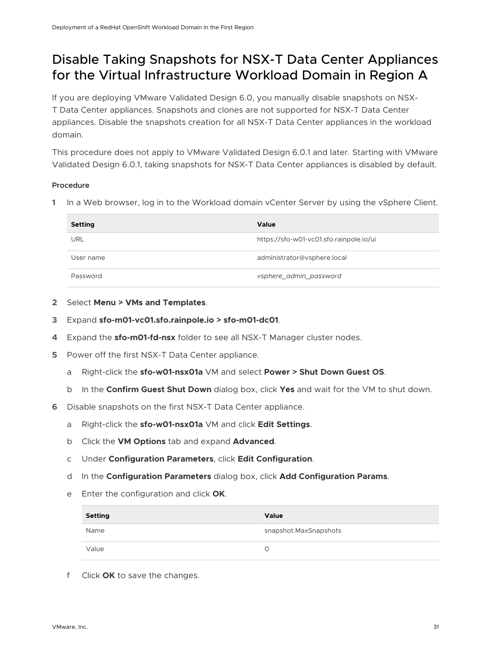## <span id="page-30-0"></span>Disable Taking Snapshots for NSX-T Data Center Appliances for the Virtual Infrastructure Workload Domain in Region A

If you are deploying VMware Validated Design 6.0, you manually disable snapshots on NSX-T Data Center appliances. Snapshots and clones are not supported for NSX-T Data Center appliances. Disable the snapshots creation for all NSX-T Data Center appliances in the workload domain.

This procedure does not apply to VMware Validated Design 6.0.1 and later. Starting with VMware Validated Design 6.0.1, taking snapshots for NSX-T Data Center appliances is disabled by default.

#### Procedure

**1** In a Web browser, log in to the Workload domain vCenter Server by using the vSphere Client.

| <b>Setting</b> | Value                                   |
|----------------|-----------------------------------------|
| URL            | https://sfo-w01-vc01.sfo.rainpole.io/ui |
| User name      | administrator@vsphere.local             |
| Password       | vsphere_admin_password                  |

- **2** Select **Menu > VMs and Templates**.
- **3** Expand **sfo-m01-vc01.sfo.rainpole.io > sfo-m01-dc01**.
- **4** Expand the **sfo-m01-fd-nsx** folder to see all NSX-T Manager cluster nodes.
- **5** Power off the first NSX-T Data Center appliance.
	- a Right-click the **sfo-w01-nsx01a** VM and select **Power > Shut Down Guest OS**.
	- b In the **Confirm Guest Shut Down** dialog box, click **Yes** and wait for the VM to shut down.
- **6** Disable snapshots on the first NSX-T Data Center appliance.
	- a Right-click the **sfo-w01-nsx01a** VM and click **Edit Settings**.
	- b Click the **VM Options** tab and expand **Advanced**.
	- c Under **Configuration Parameters**, click **Edit Configuration**.
	- d In the **Configuration Parameters** dialog box, click **Add Configuration Params**.
	- e Enter the configuration and click **OK**.

| Setting | Value                   |
|---------|-------------------------|
| Name    | snapshot. Max Snapshots |
| Value   |                         |

f Click **OK** to save the changes.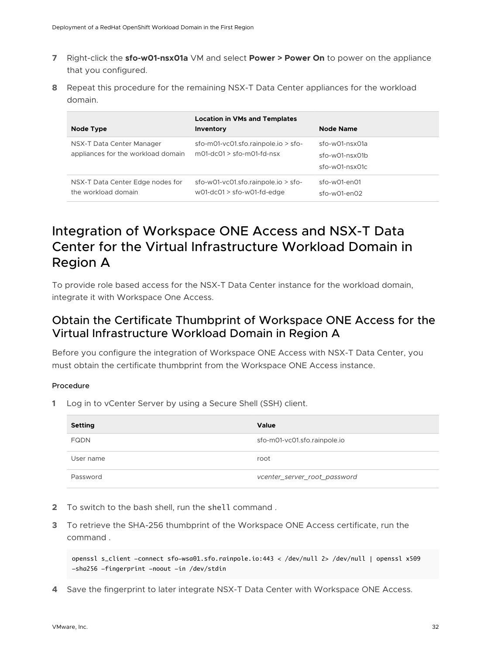- <span id="page-31-0"></span>**7** Right-click the **sfo-w01-nsx01a** VM and select **Power > Power On** to power on the appliance that you configured.
- **8** Repeat this procedure for the remaining NSX-T Data Center appliances for the workload domain.

| Node Type                                                       | <b>Location in VMs and Templates</b><br>Inventory                                   | <b>Node Name</b>                                     |
|-----------------------------------------------------------------|-------------------------------------------------------------------------------------|------------------------------------------------------|
| NSX-T Data Center Manager<br>appliances for the workload domain | $sfo-mO1-vcO1.sfo. rainpole.io > sfo-$<br>$mO1-\text{d}cO1$ > sfo-m $O1-\text{d}cS$ | sfo-w01-nsx01a<br>sfo-w01-nsx01b<br>$sfo-wO1-nsxO1c$ |
| NSX-T Data Center Edge nodes for<br>the workload domain         | $sfo-wO1-vcO1.sfo. rainbowio > sfo-$<br>$wO1-\text{d}CO1 > \text{sfo-wO1-fd-edge}$  | sfo-w01-en01<br>$sfo-wO1-enO2$                       |

## Integration of Workspace ONE Access and NSX-T Data Center for the Virtual Infrastructure Workload Domain in Region A

To provide role based access for the NSX-T Data Center instance for the workload domain, integrate it with Workspace One Access.

### Obtain the Certificate Thumbprint of Workspace ONE Access for the Virtual Infrastructure Workload Domain in Region A

Before you configure the integration of Workspace ONE Access with NSX-T Data Center, you must obtain the certificate thumbprint from the Workspace ONE Access instance.

#### Procedure

**1** Log in to vCenter Server by using a Secure Shell (SSH) client.

| <b>Setting</b> | <b>Value</b>                 |
|----------------|------------------------------|
| <b>FQDN</b>    | sfo-m01-vc01.sfo.rainpole.io |
| User name      | root                         |
| Password       | vcenter_server_root_password |

- **2** To switch to the bash shell, run the shell command .
- **3** To retrieve the SHA-256 thumbprint of the Workspace ONE Access certificate, run the command .

openssl s\_client -connect sfo-wsa01.sfo.rainpole.io:443 < /dev/null 2> /dev/null | openssl x509 -sha256 -fingerprint -noout -in /dev/stdin

**4** Save the fingerprint to later integrate NSX-T Data Center with Workspace ONE Access.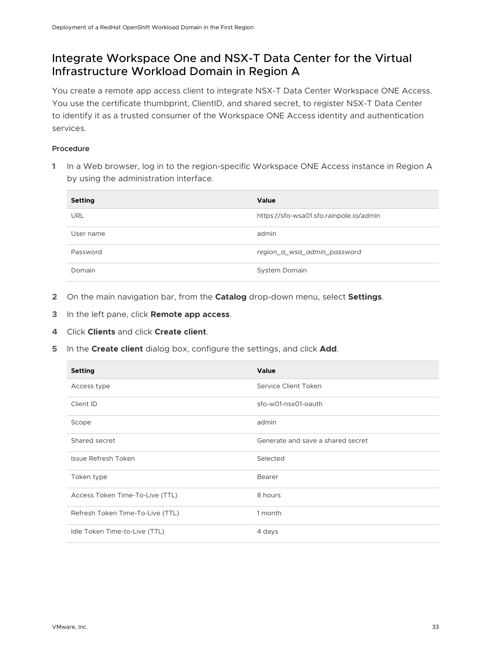### <span id="page-32-0"></span>Integrate Workspace One and NSX-T Data Center for the Virtual Infrastructure Workload Domain in Region A

You create a remote app access client to integrate NSX-T Data Center Workspace ONE Access. You use the certificate thumbprint, ClientID, and shared secret, to register NSX-T Data Center to identify it as a trusted consumer of the Workspace ONE Access identity and authentication services.

#### Procedure

**1** In a Web browser, log in to the region-specific Workspace ONE Access instance in Region A by using the administration interface.

| <b>Setting</b> | <b>Value</b>                            |
|----------------|-----------------------------------------|
| <b>URL</b>     | https://sfo-wsa01.sfo.rainpole.io/admin |
| User name      | admin                                   |
| Password       | region_a_wsa_admin_password             |
| Domain         | System Domain                           |

- **2** On the main navigation bar, from the **Catalog** drop-down menu, select **Settings**.
- **3** In the left pane, click **Remote app access**.
- **4** Click **Clients** and click **Create client**.
- **5** In the **Create client** dialog box, configure the settings, and click **Add**.

| <b>Setting</b>                   | Value                             |
|----------------------------------|-----------------------------------|
| Access type                      | Service Client Token              |
| Client ID                        | sfo-w01-nsx01-oauth               |
| Scope                            | admin                             |
| Shared secret                    | Generate and save a shared secret |
| Issue Refresh Token              | Selected                          |
| Token type                       | Bearer                            |
| Access Token Time-To-Live (TTL)  | 8 hours                           |
| Refresh Token Time-To-Live (TTL) | 1 month                           |
| Idle Token Time-to-Live (TTL)    | 4 days                            |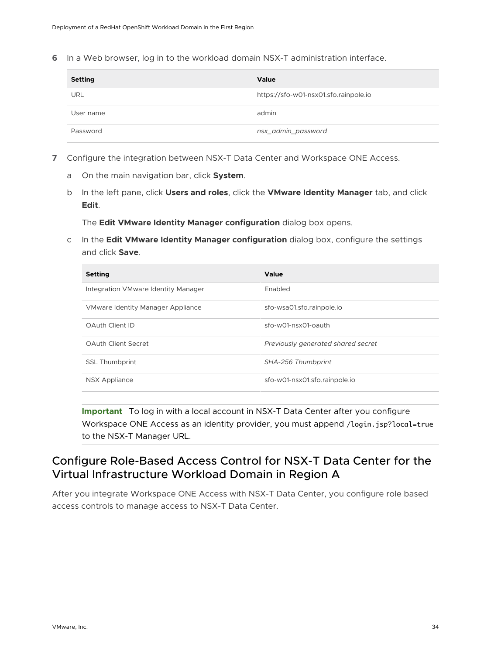<span id="page-33-0"></span>**6** In a Web browser, log in to the workload domain NSX-T administration interface.

| <b>Setting</b> | Value                                 |
|----------------|---------------------------------------|
| <b>URL</b>     | https://sfo-w01-nsx01.sfo.rainpole.io |
| User name      | admin                                 |
| Password       | nsx_admin_password                    |

- **7** Configure the integration between NSX-T Data Center and Workspace ONE Access.
	- a On the main navigation bar, click **System**.
	- b In the left pane, click **Users and roles**, click the **VMware Identity Manager** tab, and click **Edit**.

The **Edit VMware Identity Manager configuration** dialog box opens.

c In the **Edit VMware Identity Manager configuration** dialog box, configure the settings and click **Save**.

| <b>Setting</b>                      | Value                              |
|-------------------------------------|------------------------------------|
| Integration VMware Identity Manager | Enabled                            |
| VMware Identity Manager Appliance   | sfo-wsa01.sfo.rainpole.io          |
| OAuth Client ID                     | sfo-w01-nsx01-oauth                |
| <b>OAuth Client Secret</b>          | Previously generated shared secret |
| <b>SSL Thumbprint</b>               | SHA-256 Thumbprint                 |
| <b>NSX Appliance</b>                | sfo-w01-nsx01.sfo.rainpole.io      |

**Important** To log in with a local account in NSX-T Data Center after you configure Workspace ONE Access as an identity provider, you must append /login.jsp?local=true to the NSX-T Manager URL.

### Configure Role-Based Access Control for NSX-T Data Center for the Virtual Infrastructure Workload Domain in Region A

After you integrate Workspace ONE Access with NSX-T Data Center, you configure role based access controls to manage access to NSX-T Data Center.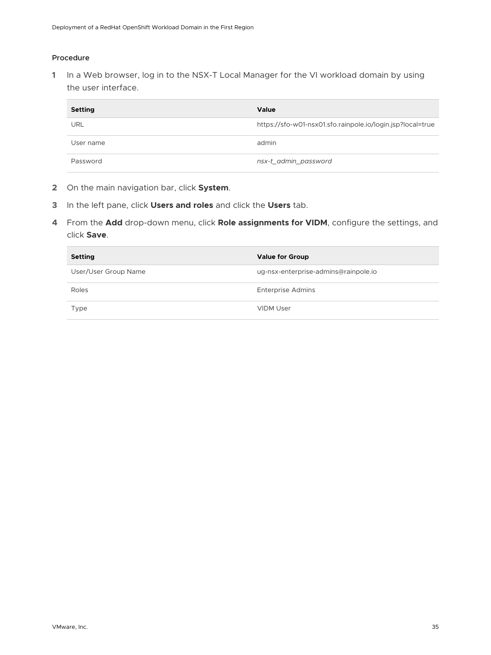#### Procedure

| <b>Setting</b> | Value                                                      |
|----------------|------------------------------------------------------------|
| URL            | https://sfo-w01-nsx01.sfo.rainpole.io/login.jsp?local=true |
| User name      | admin                                                      |
| Password       | nsx-t_admin_password                                       |

- **2** On the main navigation bar, click **System**.
- **3** In the left pane, click **Users and roles** and click the **Users** tab.
- **4** From the **Add** drop-down menu, click **Role assignments for VIDM**, configure the settings, and click **Save**.

| <b>Setting</b>       | <b>Value for Group</b>               |
|----------------------|--------------------------------------|
| User/User Group Name | ug-nsx-enterprise-admins@rainpole.io |
| Roles                | <b>Enterprise Admins</b>             |
| Type                 | <b>VIDM User</b>                     |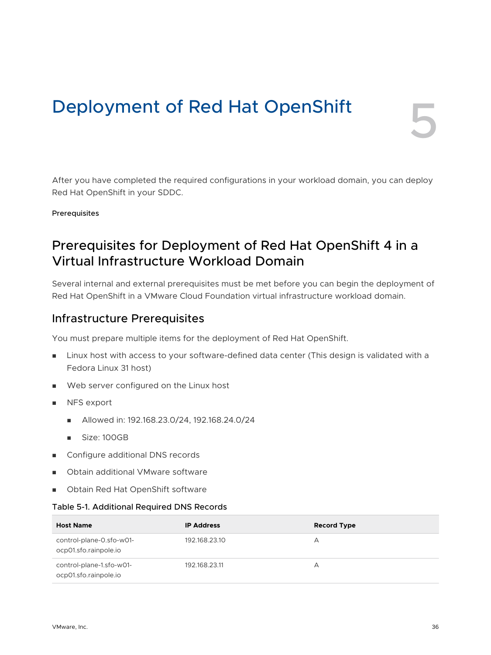# <span id="page-35-0"></span>Deployment of Red Hat OpenShift

After you have completed the required configurations in your workload domain, you can deploy

Prerequisites

## Prerequisites for Deployment of Red Hat OpenShift 4 in a Virtual Infrastructure Workload Domain

Several internal and external prerequisites must be met before you can begin the deployment of Red Hat OpenShift in a VMware Cloud Foundation virtual infrastructure workload domain.

### Infrastructure Prerequisites

Red Hat OpenShift in your SDDC.

You must prepare multiple items for the deployment of Red Hat OpenShift.

- n Linux host with access to your software-defined data center (This design is validated with a Fedora Linux 31 host)
- Web server configured on the Linux host
- **NFS** export
	- Allowed in: 192.168.23.0/24, 192.168.24.0/24
	- <sup>n</sup> Size: 100GB
- **n** Configure additional DNS records
- Obtain additional VMware software
- **n** Obtain Red Hat OpenShift software

#### Table 5-1. Additional Required DNS Records

| <b>Host Name</b>                                  | <b>IP Address</b> | <b>Record Type</b> |
|---------------------------------------------------|-------------------|--------------------|
| control-plane-0.sfo-w01-<br>ocp01.sfo.rainpole.io | 192.168.23.10     | А                  |
| control-plane-1.sfo-w01-<br>ocp01.sfo.rainpole.io | 192.168.23.11     | А                  |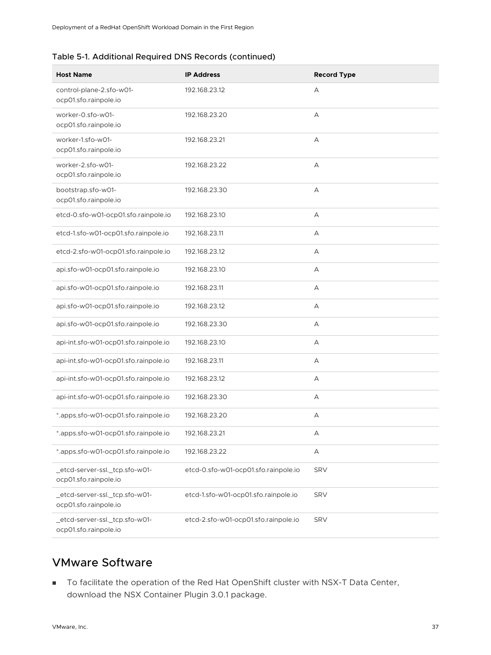#### Table 5-1. Additional Required DNS Records (continued)

| <b>Host Name</b>                                        | <b>IP Address</b>                    | <b>Record Type</b> |
|---------------------------------------------------------|--------------------------------------|--------------------|
| control-plane-2.sfo-w01-<br>ocp01.sfo.rainpole.io       | 192.168.23.12                        | А                  |
| worker-0.sfo-w01-<br>ocp01.sfo.rainpole.io              | 192.168.23.20                        | А                  |
| worker-1.sfo-w01-<br>ocp01.sfo.rainpole.io              | 192.168.23.21                        | А                  |
| worker-2.sfo-w01-<br>ocp01.sfo.rainpole.io              | 192.168.23.22                        | А                  |
| bootstrap.sfo-w01-<br>ocp01.sfo.rainpole.io             | 192.168.23.30                        | А                  |
| etcd-0.sfo-w01-ocp01.sfo.rainpole.io                    | 192.168.23.10                        | А                  |
| etcd-1.sfo-w01-ocp01.sfo.rainpole.io                    | 192.168.23.11                        | А                  |
| etcd-2.sfo-w01-ocp01.sfo.rainpole.io                    | 192.168.23.12                        | А                  |
| api.sfo-w01-ocp01.sfo.rainpole.io                       | 192.168.23.10                        | А                  |
| api.sfo-w01-ocp01.sfo.rainpole.io                       | 192.168.23.11                        | А                  |
| api.sfo-w01-ocp01.sfo.rainpole.io                       | 192.168.23.12                        | А                  |
| api.sfo-w01-ocp01.sfo.rainpole.io                       | 192.168.23.30                        | А                  |
| api-int.sfo-w01-ocp01.sfo.rainpole.io                   | 192.168.23.10                        | А                  |
| api-int.sfo-w01-ocp01.sfo.rainpole.io                   | 192.168.23.11                        | А                  |
| api-int.sfo-w01-ocp01.sfo.rainpole.io                   | 192.168.23.12                        | А                  |
| api-int.sfo-w01-ocp01.sfo.rainpole.io                   | 192.168.23.30                        | А                  |
| *.apps.sfo-w01-ocp01.sfo.rainpole.io                    | 192.168.23.20                        | А                  |
| *.apps.sfo-w01-ocp01.sfo.rainpole.io                    | 192.168.23.21                        | А                  |
| *.apps.sfo-w01-ocp01.sfo.rainpole.io                    | 192.168.23.22                        | А                  |
| _etcd-server-ssl._tcp.sfo-w01-<br>ocp01.sfo.rainpole.io | etcd-0.sfo-w01-ocp01.sfo.rainpole.io | <b>SRV</b>         |
| _etcd-server-ssl._tcp.sfo-w01-<br>ocp01.sfo.rainpole.io | etcd-1.sfo-w01-ocp01.sfo.rainpole.io | <b>SRV</b>         |
| _etcd-server-ssl._tcp.sfo-w01-<br>ocp01.sfo.rainpole.io | etcd-2.sfo-w01-ocp01.sfo.rainpole.io | <b>SRV</b>         |

### VMware Software

<sup>n</sup> To facilitate the operation of the Red Hat OpenShift cluster with NSX-T Data Center, download the NSX Container Plugin 3.0.1 package.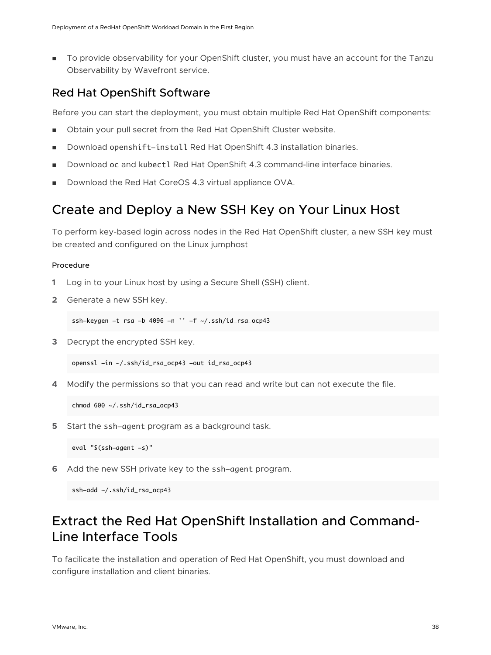<span id="page-37-0"></span>**n** To provide observability for your OpenShift cluster, you must have an account for the Tanzu Observability by Wavefront service.

### Red Hat OpenShift Software

Before you can start the deployment, you must obtain multiple Red Hat OpenShift components:

- **n** Obtain your pull secret from the Red Hat OpenShift Cluster website.
- **Download openshift-install Red Hat OpenShift 4.3 installation binaries.**
- Download oc and kubectl Red Hat OpenShift 4.3 command-line interface binaries.
- Download the Red Hat CoreOS 4.3 virtual appliance OVA.

### Create and Deploy a New SSH Key on Your Linux Host

To perform key-based login across nodes in the Red Hat OpenShift cluster, a new SSH key must be created and configured on the Linux jumphost

#### Procedure

- **1** Log in to your Linux host by using a Secure Shell (SSH) client.
- **2** Generate a new SSH key.

ssh-keygen -t rsa -b 4096 -n  $'$  -f  $\sim$ /.ssh/id\_rsa\_ocp43

**3** Decrypt the encrypted SSH key.

openssl -in ~/.ssh/id\_rsa\_ocp43 -out id\_rsa\_ocp43

**4** Modify the permissions so that you can read and write but can not execute the file.

chmod 600 ~/.ssh/id\_rsa\_ocp43

**5** Start the ssh-agent program as a background task.

eval "\$(ssh-agent -s)"

**6** Add the new SSH private key to the ssh-agent program.

ssh-add ~/.ssh/id\_rsa\_ocp43

## Extract the Red Hat OpenShift Installation and Command-Line Interface Tools

To facilicate the installation and operation of Red Hat OpenShift, you must download and configure installation and client binaries.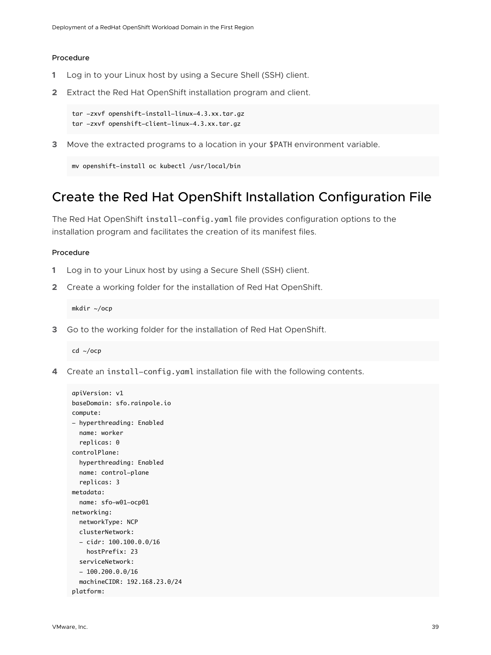#### <span id="page-38-0"></span>Procedure

- **1** Log in to your Linux host by using a Secure Shell (SSH) client.
- **2** Extract the Red Hat OpenShift installation program and client.

```
tar -zxvf openshift-install-linux-4.3.xx.tar.gz
tar -zxvf openshift-client-linux-4.3.xx.tar.gz
```
**3** Move the extracted programs to a location in your \$PATH environment variable.

```
mv openshift-install oc kubectl /usr/local/bin
```
### Create the Red Hat OpenShift Installation Configuration File

The Red Hat OpenShift install-config.yaml file provides configuration options to the installation program and facilitates the creation of its manifest files.

#### Procedure

- **1** Log in to your Linux host by using a Secure Shell (SSH) client.
- **2** Create a working folder for the installation of Red Hat OpenShift.

mkdir ~/ocp

**3** Go to the working folder for the installation of Red Hat OpenShift.

cd ~/ocp

**4** Create аn install-config.yaml installation file with the following contents.

```
apiVersion: v1
baseDomain: sfo.rainpole.io
compute:
- hyperthreading: Enabled 
   name: worker
   replicas: 0
controlPlane:
   hyperthreading: Enabled
   name: control-plane
   replicas: 3
metadata:
   name: sfo-w01-ocp01
networking:
   networkType: NCP
   clusterNetwork:
   - cidr: 100.100.0.0/16
     hostPrefix: 23
   serviceNetwork:
  -100.200.0.0/16 machineCIDR: 192.168.23.0/24
platform:
```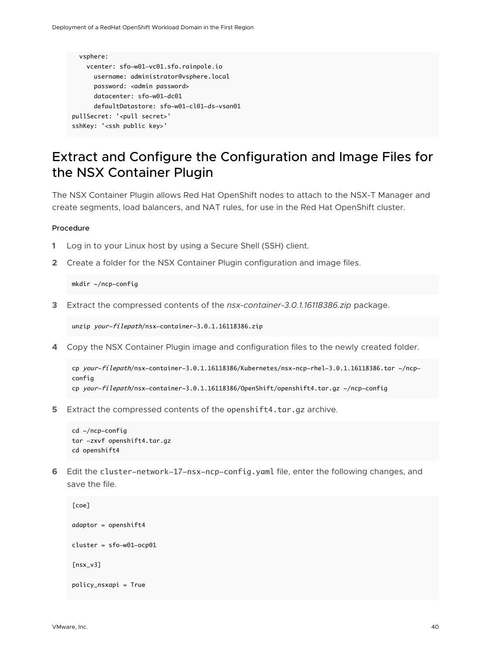```
 vsphere:
    vcenter: sfo-w01-vc01.sfo.rainpole.io
       username: administrator@vsphere.local
      password: < admin password>
       datacenter: sfo-w01-dc01
       defaultDatastore: sfo-w01-cl01-ds-vsan01
pullSecret: '<pull secret>'
sshKey: '<ssh public key>'
```
## Extract and Configure the Configuration and Image Files for the NSX Container Plugin

The NSX Container Plugin allows Red Hat OpenShift nodes to attach to the NSX-T Manager and create segments, load balancers, and NAT rules, for use in the Red Hat OpenShift cluster.

#### Procedure

- **1** Log in to your Linux host by using a Secure Shell (SSH) client.
- **2** Create a folder for the NSX Container Plugin configuration and image files.

mkdir ~/ncp-config

**3** Extract the compressed contents of the *nsx-container-3.0.1.16118386.zip* package.

unzip your-filepath/nsx-container-3.0.1.16118386.zip

**4** Copy the NSX Container Plugin image and configuration files to the newly created folder.

```
cp your-filepath/nsx-container-3.0.1.16118386/Kubernetes/nsx-ncp-rhel-3.0.1.16118386.tar ~/ncp-
config
cp your-filepath/nsx-container-3.0.1.16118386/OpenShift/openshift4.tar.gz ~/ncp-config
```
**5** Extract the compressed contents of the openshift4.tar.gz archive.

```
cd ~/ncp-config
tar -zxvf openshift4.tar.gz
cd openshift4
```
**6** Edit the cluster-network-17-nsx-ncp-config.yaml file, enter the following changes, and save the file.

```
[coe]
adaptor = openshift4
cluster = sfo-w01-ocp01
[nsx_v3]
policy_nsxapi = True
```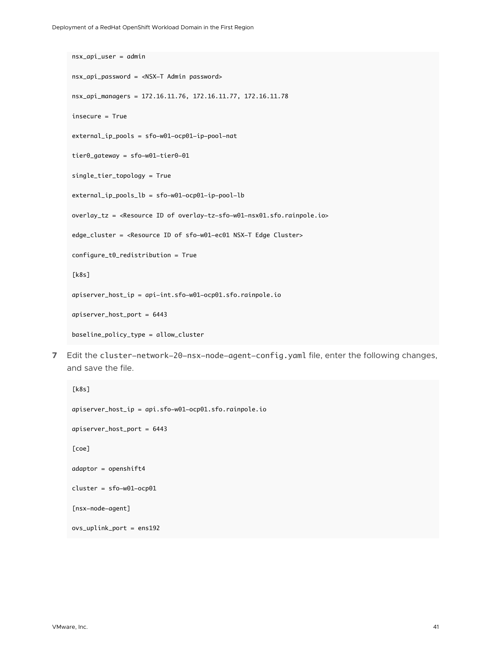```
nsx_api_user = admin
nsx_api_password = <NSX-T Admin password>
nsx_api_managers = 172.16.11.76, 172.16.11.77, 172.16.11.78
insecure = True
external_ip_pools = sfo-w01-ocp01-ip-pool-nat
tier0_gateway = sfo-w01-tier0-01
single_tier_topology = True
external_ip_pools_lb = sfo-w01-ocp01-ip-pool-lb
overlay_tz = <Resource ID of overlay-tz-sfo-w01-nsx01.sfo.rainpole.io>
edge_cluster = <Resource ID of sfo-w01-ec01 NSX-T Edge Cluster>
configure_t0_redistribution = True
[k8s]
apiserver_host_ip = api-int.sfo-w01-ocp01.sfo.rainpole.io
apiserver_host_port = 6443
baseline_policy_type = allow_cluster
```
**7** Edit the cluster-network-20-nsx-node-agent-config.yaml file, enter the following changes, and save the file.

```
[k8s]
apiserver_host_ip = api.sfo-w01-ocp01.sfo.rainpole.io
apiserver_host_port = 6443
[coe]
adaptor = openshift4
cluster = sfo-w01-ocp01
[nsx-node-agent]
ovs_uplink_port = ens192
```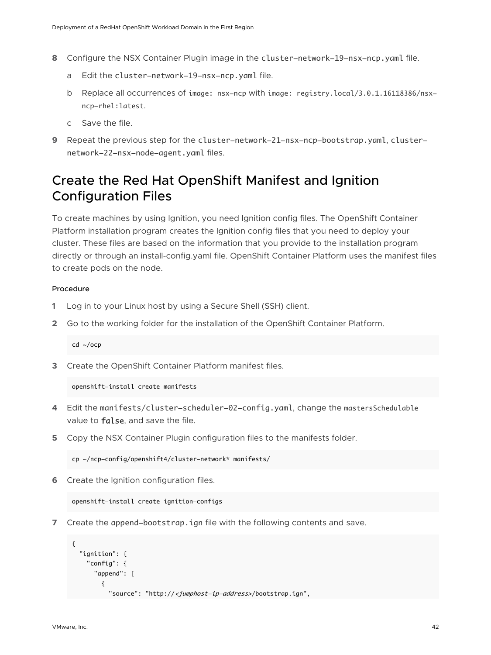- <span id="page-41-0"></span>**8** Configure the NSX Container Plugin image in the cluster-network-19-nsx-ncp.yaml file.
	- a Edit the cluster-network-19-nsx-ncp.yaml file.
	- b Replace all occurrences of image: nsx-ncp with image: registry.local/3.0.1.16118386/nsxncp-rhel:latest.
	- c Save the file.
- **9** Repeat the previous step for the cluster-network-21-nsx-ncp-bootstrap.yaml, clusternetwork-22-nsx-node-agent.yaml files.

### Create the Red Hat OpenShift Manifest and Ignition Configuration Files

To create machines by using Ignition, you need Ignition config files. The OpenShift Container Platform installation program creates the Ignition config files that you need to deploy your cluster. These files are based on the information that you provide to the installation program directly or through an install-config.yaml file. OpenShift Container Platform uses the manifest files to create pods on the node.

#### Procedure

- **1** Log in to your Linux host by using a Secure Shell (SSH) client.
- **2** Go to the working folder for the installation of the OpenShift Container Platform.

cd ~/ocp

**3** Create the OpenShift Container Platform manifest files.

openshift-install create manifests

- **4** Edit the manifests/cluster-scheduler-02-config.yaml, change the mastersSchedulable value to **false**, and save the file.
- **5** Copy the NSX Container Plugin configuration files to the manifests folder.

cp ~/ncp-config/openshift4/cluster-network\* manifests/

**6** Create the Ignition configuration files.

openshift-install create ignition-configs

**7** Create the append-bootstrap.ign file with the following contents and save.

```
{
   "ignition": {
     "config": {
       "append": [
         {
          "source": "http://<jumphost-ip-address>/bootstrap.ign",
```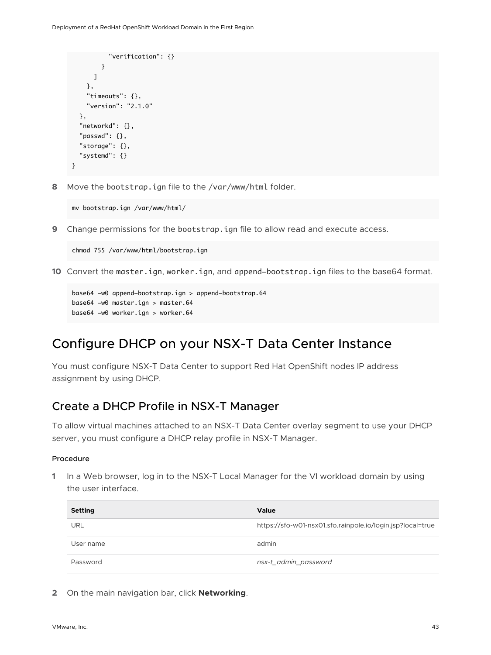```
 "verification": {}
          }
       ]
     },
     "timeouts": {},
     "version": "2.1.0"
   },
   "networkd": {},
   "passwd": {},
   "storage": {},
   "systemd": {}
}
```
**8** Move the bootstrap.ign file to the /var/www/html folder.

mv bootstrap.ign /var/www/html/

**9** Change permissions for the bootstrap.ign file to allow read and execute access.

chmod 755 /var/www/html/bootstrap.ign

**10** Convert the master.ign, worker.ign, and append-bootstrap.ign files to the base64 format.

```
base64 -w0 append-bootstrap.ign > append-bootstrap.64
base64 -w0 master.ign > master.64
base64 -w0 worker.ign > worker.64
```
### Configure DHCP on your NSX-T Data Center Instance

You must configure NSX-T Data Center to support Red Hat OpenShift nodes IP address assignment by using DHCP.

### Create a DHCP Profile in NSX-T Manager

To allow virtual machines attached to an NSX-T Data Center overlay segment to use your DHCP server, you must configure a DHCP relay profile in NSX-T Manager.

#### Procedure

**1** In a Web browser, log in to the NSX-T Local Manager for the VI workload domain by using the user interface.

| <b>Setting</b> | Value                                                      |
|----------------|------------------------------------------------------------|
| URL            | https://sfo-w01-nsx01.sfo.rainpole.io/login.jsp?local=true |
| User name      | admin                                                      |
| Password       | nsx-t_admin_password                                       |

**2** On the main navigation bar, click **Networking**.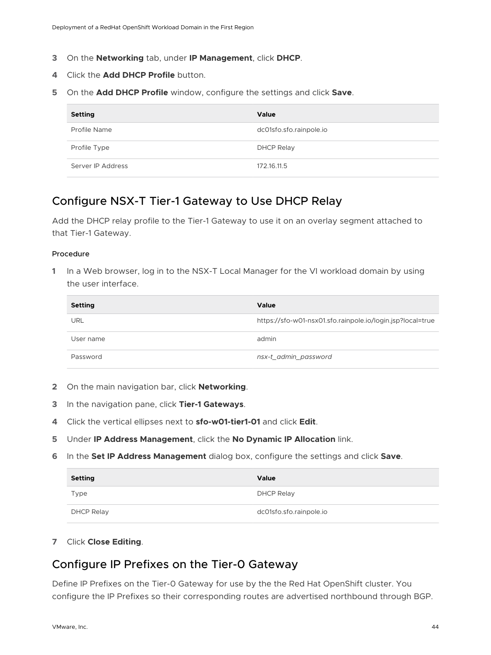- <span id="page-43-0"></span>**3** On the **Networking** tab, under **IP Management**, click **DHCP**.
- **4** Click the **Add DHCP Profile** button.
- **5** On the **Add DHCP Profile** window, configure the settings and click **Save**.

| <b>Setting</b>    | Value                   |
|-------------------|-------------------------|
| Profile Name      | dc01sfo.sfo.rainpole.io |
| Profile Type      | DHCP Relay              |
| Server IP Address | 172.16.11.5             |

### Configure NSX-T Tier-1 Gateway to Use DHCP Relay

Add the DHCP relay profile to the Tier-1 Gateway to use it on an overlay segment attached to that Tier-1 Gateway.

#### Procedure

**1** In a Web browser, log in to the NSX-T Local Manager for the VI workload domain by using the user interface.

| <b>Setting</b> | Value                                                      |
|----------------|------------------------------------------------------------|
| URL            | https://sfo-w01-nsx01.sfo.rainpole.io/login.jsp?local=true |
| User name      | admin                                                      |
| Password       | nsx-t_admin_password                                       |

- **2** On the main navigation bar, click **Networking**.
- **3** In the navigation pane, click **Tier-1 Gateways**.
- **4** Click the vertical ellipses next to **sfo-w01-tier1-01** and click **Edit**.
- **5** Under **IP Address Management**, click the **No Dynamic IP Allocation** link.
- **6** In the **Set IP Address Management** dialog box, configure the settings and click **Save**.

| <b>Setting</b> | Value                   |
|----------------|-------------------------|
| Type           | DHCP Relay              |
| DHCP Relay     | dc01sfo.sfo.rainpole.io |

**7** Click **Close Editing**.

### Configure IP Prefixes on the Tier-0 Gateway

Define IP Prefixes on the Tier-0 Gateway for use by the the Red Hat OpenShift cluster. You configure the IP Prefixes so their corresponding routes are advertised northbound through BGP.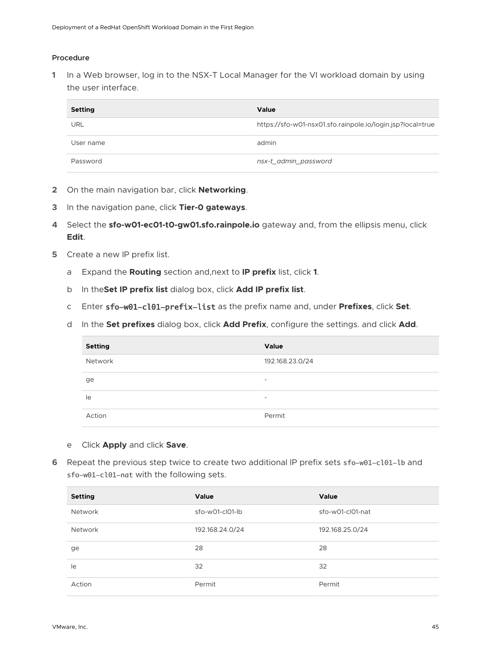#### Procedure

**1** In a Web browser, log in to the NSX-T Local Manager for the VI workload domain by using the user interface.

| <b>Setting</b> | Value                                                      |
|----------------|------------------------------------------------------------|
| URL            | https://sfo-w01-nsx01.sfo.rainpole.io/login.jsp?local=true |
| User name      | admin                                                      |
| Password       | nsx-t_admin_password                                       |

- **2** On the main navigation bar, click **Networking**.
- **3** In the navigation pane, click **Tier-0 gateways**.
- **4** Select the **sfo-w01-ec01-t0-gw01.sfo.rainpole.io** gateway and, from the ellipsis menu, click **Edit**.
- **5** Create a new IP prefix list.
	- a Expand the **Routing** section and,next to **IP prefix** list, click **1**.
	- b In the**Set IP prefix list** dialog box, click **Add IP prefix list**.
	- c Enter sfo-w01-cl01-prefix-list as the prefix name and, under **Prefixes**, click **Set**.
	- d In the **Set prefixes** dialog box, click **Add Prefix**, configure the settings. and click **Add**.

| <b>Setting</b> | Value                    |
|----------------|--------------------------|
| Network        | 192.168.23.0/24          |
| ge             | $\overline{\phantom{a}}$ |
| le             | $\overline{\phantom{0}}$ |
| Action         | Permit                   |

#### e Click **Apply** and click **Save**.

**6** Repeat the previous step twice to create two additional IP prefix sets sfo-w01-cl01-lb and sfo-w01-cl01-nat with the following sets.

| <b>Setting</b> | Value             | Value            |
|----------------|-------------------|------------------|
| Network        | $sfo-wO1-ClO1-lb$ | sfo-w01-cl01-nat |
| <b>Network</b> | 192.168.24.0/24   | 192.168.25.0/24  |
| ge             | 28                | 28               |
| le             | 32                | 32               |
| Action         | Permit            | Permit           |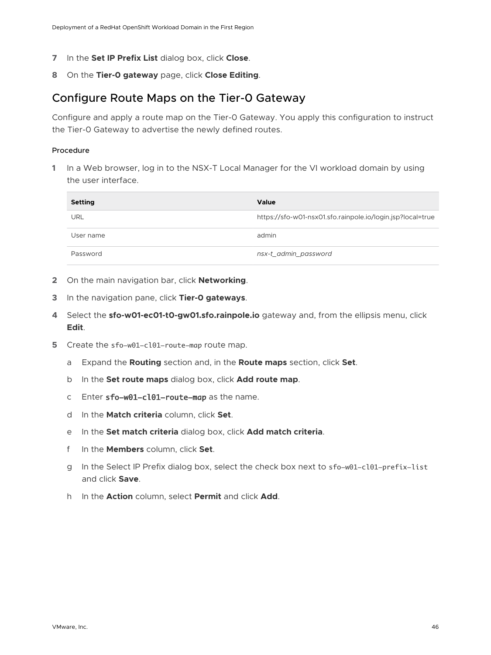- <span id="page-45-0"></span>**7** In the **Set IP Prefix List** dialog box, click **Close**.
- **8** On the **Tier-0 gateway** page, click **Close Editing**.

### Configure Route Maps on the Tier-0 Gateway

Configure and apply a route map on the Tier-0 Gateway. You apply this configuration to instruct the Tier-0 Gateway to advertise the newly defined routes.

#### Procedure

| <b>Setting</b> | Value                                                      |
|----------------|------------------------------------------------------------|
| URL            | https://sfo-w01-nsx01.sfo.rainpole.io/login.jsp?local=true |
| User name      | admin                                                      |
| Password       | nsx-t_admin_password                                       |

- **2** On the main navigation bar, click **Networking**.
- **3** In the navigation pane, click **Tier-0 gateways**.
- **4** Select the **sfo-w01-ec01-t0-gw01.sfo.rainpole.io** gateway and, from the ellipsis menu, click **Edit**.
- **5** Create the sfo-w01-cl01-route-map route map.
	- a Expand the **Routing** section and, in the **Route maps** section, click **Set**.
	- b In the **Set route maps** dialog box, click **Add route map**.
	- c Enter sfo-w01-cl01-route-map as the name.
	- d In the **Match criteria** column, click **Set**.
	- e In the **Set match criteria** dialog box, click **Add match criteria**.
	- f In the **Members** column, click **Set**.
	- g In the Select IP Prefix dialog box, select the check box next to sfo-w01-cl01-prefix-list and click **Save**.
	- h In the **Action** column, select **Permit** and click **Add**.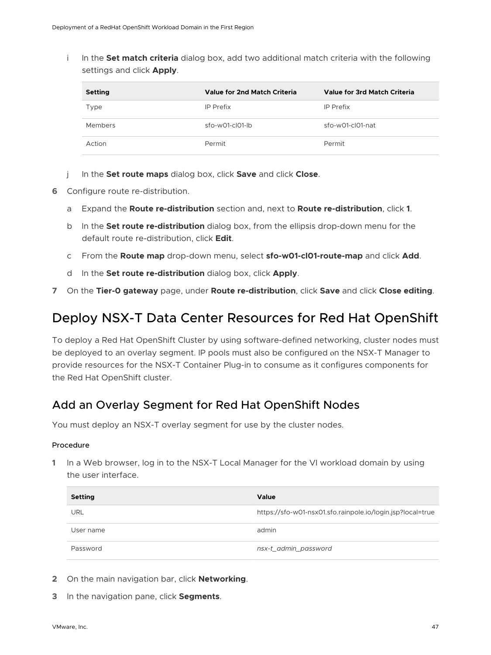<span id="page-46-0"></span>i In the **Set match criteria** dialog box, add two additional match criteria with the following settings and click **Apply**.

| <b>Setting</b> | Value for 2nd Match Criteria | Value for 3rd Match Criteria |
|----------------|------------------------------|------------------------------|
| Type           | IP Prefix                    | IP Prefix                    |
| Members        | sfo-w01-cl01-lb              | $sfo-wO1-clO1-nat$           |
| Action         | Permit                       | Permit                       |

- j In the **Set route maps** dialog box, click **Save** and click **Close**.
- **6** Configure route re-distribution.
	- a Expand the **Route re-distribution** section and, next to **Route re-distribution**, click **1**.
	- b In the **Set route re-distribution** dialog box, from the ellipsis drop-down menu for the default route re-distribution, click **Edit**.
	- c From the **Route map** drop-down menu, select **sfo-w01-cl01-route-map** and click **Add**.
	- d In the **Set route re-distribution** dialog box, click **Apply**.
- **7** On the **Tier-0 gateway** page, under **Route re-distribution**, click **Save** and click **Close editing**.

### Deploy NSX-T Data Center Resources for Red Hat OpenShift

To deploy a Red Hat OpenShift Cluster by using software-defined networking, cluster nodes must be deployed to an overlay segment. IP pools must also be configured on the NSX-T Manager to provide resources for the NSX-T Container Plug-in to consume as it configures components for the Red Hat OpenShift cluster.

### Add an Overlay Segment for Red Hat OpenShift Nodes

You must deploy an NSX-T overlay segment for use by the cluster nodes.

#### Procedure

| <b>Setting</b> | Value                                                      |
|----------------|------------------------------------------------------------|
| URL            | https://sfo-w01-nsx01.sfo.rainpole.io/login.jsp?local=true |
| User name      | admin                                                      |
| Password       | nsx-t_admin_password                                       |

- **2** On the main navigation bar, click **Networking**.
- **3** In the navigation pane, click **Segments**.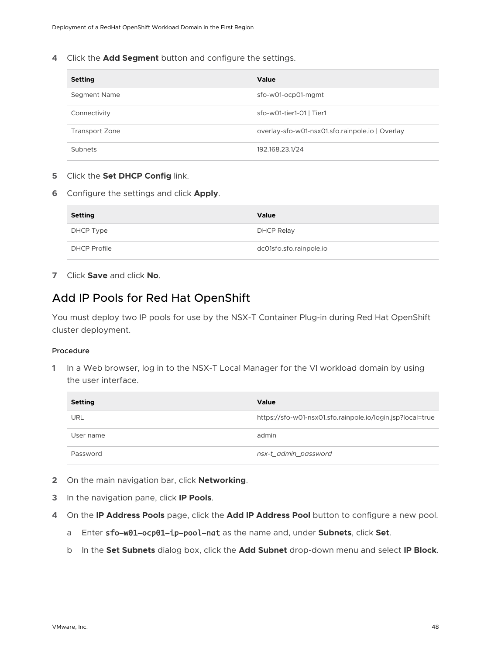<span id="page-47-0"></span>**4** Click the **Add Segment** button and configure the settings.

| <b>Setting</b>        | <b>Value</b>                                    |
|-----------------------|-------------------------------------------------|
| Segment Name          | sfo-w01-ocp01-mgmt                              |
| Connectivity          | sfo-w01-tier1-01   Tier1                        |
| <b>Transport Zone</b> | overlay-sfo-w01-nsx01.sfo.rainpole.io   Overlay |
| Subnets               | 192.168.23.1/24                                 |

#### **5** Click the **Set DHCP Config** link.

**6** Configure the settings and click **Apply**.

| <b>Setting</b>      | <b>Value</b>            |
|---------------------|-------------------------|
| DHCP Type           | DHCP Relay              |
| <b>DHCP Profile</b> | dc01sfo.sfo.rainpole.io |

**7** Click **Save** and click **No**.

### Add IP Pools for Red Hat OpenShift

You must deploy two IP pools for use by the NSX-T Container Plug-in during Red Hat OpenShift cluster deployment.

#### Procedure

| <b>Setting</b> | Value                                                      |
|----------------|------------------------------------------------------------|
| URL            | https://sfo-w01-nsx01.sfo.rainpole.io/login.jsp?local=true |
| User name      | admin                                                      |
| Password       | nsx-t_admin_password                                       |

- **2** On the main navigation bar, click **Networking**.
- **3** In the navigation pane, click **IP Pools**.
- **4** On the **IP Address Pools** page, click the **Add IP Address Pool** button to configure a new pool.
	- a Enter sfo-w01-ocp01-ip-pool-nat as the name and, under **Subnets**, click **Set**.
	- b In the **Set Subnets** dialog box, click the **Add Subnet** drop-down menu and select **IP Block**.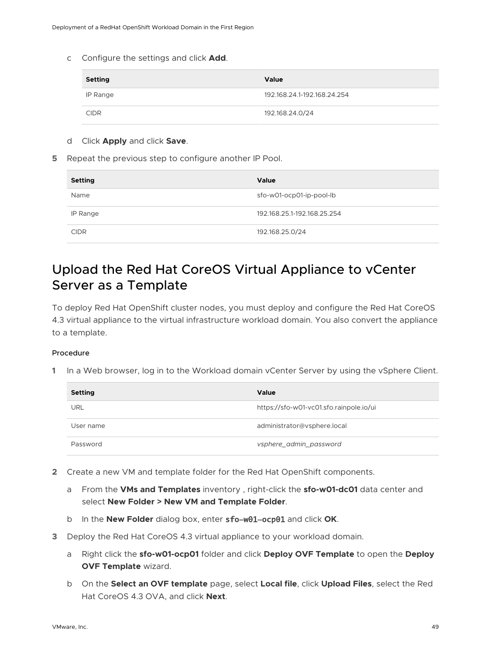<span id="page-48-0"></span>c Configure the settings and click **Add**.

| <b>Setting</b> | <b>Value</b>                |
|----------------|-----------------------------|
| IP Range       | 192.168.24.1-192.168.24.254 |
| <b>CIDR</b>    | 192.168.24.0/24             |

- d Click **Apply** and click **Save**.
- **5** Repeat the previous step to configure another IP Pool.

| <b>Setting</b> | <b>Value</b>                |
|----------------|-----------------------------|
| Name           | sfo-w01-ocp01-ip-pool-lb    |
| IP Range       | 192.168.25.1-192.168.25.254 |
| <b>CIDR</b>    | 192.168.25.0/24             |

## Upload the Red Hat CoreOS Virtual Appliance to vCenter Server as a Template

To deploy Red Hat OpenShift cluster nodes, you must deploy and configure the Red Hat CoreOS 4.3 virtual appliance to the virtual infrastructure workload domain. You also convert the appliance to a template.

#### Procedure

| <b>Setting</b> | <b>Value</b>                            |
|----------------|-----------------------------------------|
| URL            | https://sfo-w01-vc01.sfo.rainpole.io/ui |
| User name      | administrator@vsphere.local             |
| Password       | vsphere_admin_password                  |

- **2** Create a new VM and template folder for the Red Hat OpenShift components.
	- a From the **VMs and Templates** inventory , right-click the **sfo-w01-dc01** data center and select **New Folder > New VM and Template Folder**.
	- b In the **New Folder** dialog box, enter sfo-w01-ocp01 and click **OK**.
- **3** Deploy the Red Hat CoreOS 4.3 virtual appliance to your workload domain.
	- a Right click the **sfo-w01-ocp01** folder and click **Deploy OVF Template** to open the **Deploy OVF Template** wizard.
	- b On the **Select an OVF template** page, select **Local file**, click **Upload Files**, select the Red Hat CoreOS 4.3 OVA, and click **Next**.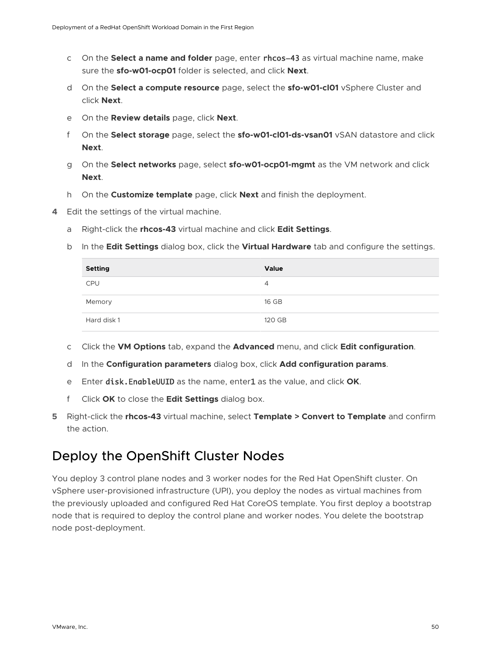- <span id="page-49-0"></span>c On the **Select a name and folder** page, enter rhcos-43 as virtual machine name, make sure the **sfo-w01-ocp01** folder is selected, and click **Next**.
- d On the **Select a compute resource** page, select the **sfo-w01-cl01** vSphere Cluster and click **Next**.
- e On the **Review details** page, click **Next**.
- f On the **Select storage** page, select the **sfo-w01-cl01-ds-vsan01** vSAN datastore and click **Next**.
- g On the **Select networks** page, select **sfo-w01-ocp01-mgmt** as the VM network and click **Next**.
- h On the **Customize template** page, click **Next** and finish the deployment.
- **4** Edit the settings of the virtual machine.
	- a Right-click the **rhcos-43** virtual machine and click **Edit Settings**.
	- b In the **Edit Settings** dialog box, click the **Virtual Hardware** tab and configure the settings.

| <b>Setting</b> | Value  |
|----------------|--------|
| <b>CPU</b>     | 4      |
| Memory         | 16 GB  |
| Hard disk 1    | 120 GB |

- c Click the **VM Options** tab, expand the **Advanced** menu, and click **Edit configuration**.
- d In the **Configuration parameters** dialog box, click **Add configuration params**.
- e Enter disk.EnableUUID as the name, enter1 as the value, and click **OK**.
- f Click **OK** to close the **Edit Settings** dialog box.
- **5** Right-click the **rhcos-43** virtual machine, select **Template > Convert to Template** and confirm the action.

### Deploy the OpenShift Cluster Nodes

You deploy 3 control plane nodes and 3 worker nodes for the Red Hat OpenShift cluster. On vSphere user-provisioned infrastructure (UPI), you deploy the nodes as virtual machines from the previously uploaded and configured Red Hat CoreOS template. You first deploy a bootstrap node that is required to deploy the control plane and worker nodes. You delete the bootstrap node post-deployment.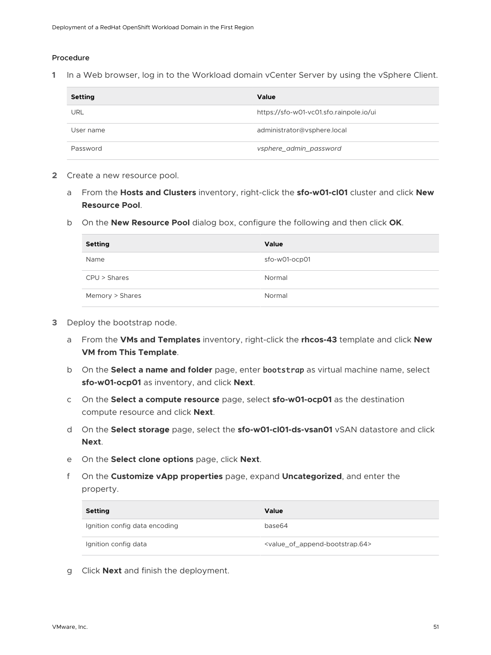#### Procedure

**1** In a Web browser, log in to the Workload domain vCenter Server by using the vSphere Client.

| <b>Setting</b> | Value                                   |
|----------------|-----------------------------------------|
| URL            | https://sfo-w01-vc01.sfo.rainpole.io/ui |
| User name      | administrator@vsphere.local             |
| Password       | vsphere_admin_password                  |

- **2** Create a new resource pool.
	- a From the **Hosts and Clusters** inventory, right-click the **sfo-w01-cl01** cluster and click **New Resource Pool**.
	- b On the **New Resource Pool** dialog box, configure the following and then click **OK**.

| <b>Setting</b>  | Value         |
|-----------------|---------------|
| Name            | sfo-w01-ocp01 |
| CPU > Shares    | Normal        |
| Memory > Shares | Normal        |

- **3** Deploy the bootstrap node.
	- a From the **VMs and Templates** inventory, right-click the **rhcos-43** template and click **New VM from This Template**.
	- b On the **Select a name and folder** page, enter bootstrap as virtual machine name, select **sfo-w01-ocp01** as inventory, and click **Next**.
	- c On the **Select a compute resource** page, select **sfo-w01-ocp01** as the destination compute resource and click **Next**.
	- d On the **Select storage** page, select the **sfo-w01-cl01-ds-vsan01** vSAN datastore and click **Next**.
	- e On the **Select clone options** page, click **Next**.
	- f On the **Customize vApp properties** page, expand **Uncategorized**, and enter the property.

| Setting                       | Value                                                         |
|-------------------------------|---------------------------------------------------------------|
| Ignition config data encoding | base64                                                        |
| Ignition config data          | <value_of_append-bootstrap.64></value_of_append-bootstrap.64> |

g Click **Next** and finish the deployment.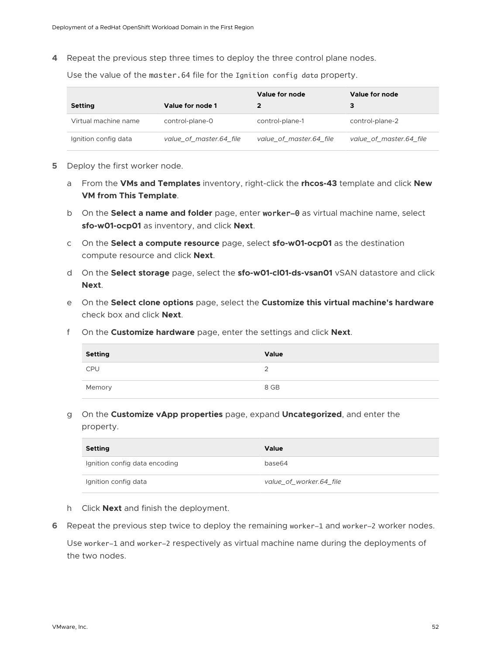**4** Repeat the previous step three times to deploy the three control plane nodes.

Use the value of the master.64 file for the Ignition config data property.

|                      |                         | Value for node          | Value for node          |
|----------------------|-------------------------|-------------------------|-------------------------|
| <b>Setting</b>       | Value for node 1        |                         |                         |
| Virtual machine name | control-plane-0         | control-plane-1         | control-plane-2         |
| Ignition config data | value of master.64 file | value of master.64 file | value of master.64 file |

- **5** Deploy the first worker node.
	- a From the **VMs and Templates** inventory, right-click the **rhcos-43** template and click **New VM from This Template**.
	- b On the **Select a name and folder** page, enter worker-0 as virtual machine name, select **sfo-w01-ocp01** as inventory, and click **Next**.
	- c On the **Select a compute resource** page, select **sfo-w01-ocp01** as the destination compute resource and click **Next**.
	- d On the **Select storage** page, select the **sfo-w01-cl01-ds-vsan01** vSAN datastore and click **Next**.
	- e On the **Select clone options** page, select the **Customize this virtual machine's hardware**  check box and click **Next**.
	- f On the **Customize hardware** page, enter the settings and click **Next**.

| Setting    | Value |
|------------|-------|
| <b>CPU</b> | っ     |
| Memory     | 8 GB  |

g On the **Customize vApp properties** page, expand **Uncategorized**, and enter the property.

| <b>Setting</b>                | Value                   |
|-------------------------------|-------------------------|
| Ignition config data encoding | base64                  |
| Ignition config data          | value_of_worker.64_file |

- h Click **Next** and finish the deployment.
- **6** Repeat the previous step twice to deploy the remaining worker-1 and worker-2 worker nodes.

Use worker-1 and worker-2 respectively as virtual machine name during the deployments of the two nodes.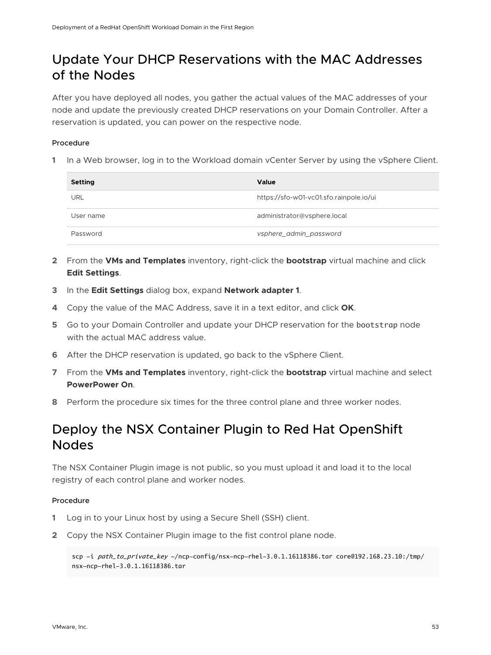## <span id="page-52-0"></span>Update Your DHCP Reservations with the MAC Addresses of the Nodes

After you have deployed all nodes, you gather the actual values of the MAC addresses of your node and update the previously created DHCP reservations on your Domain Controller. After a reservation is updated, you can power on the respective node.

#### Procedure

**1** In a Web browser, log in to the Workload domain vCenter Server by using the vSphere Client.

| Setting    | Value                                   |
|------------|-----------------------------------------|
| <b>URL</b> | https://sfo-w01-vc01.sfo.rainpole.io/ui |
| User name  | administrator@vsphere.local             |
| Password   | vsphere_admin_password                  |

- **2** From the **VMs and Templates** inventory, right-click the **bootstrap** virtual machine and click **Edit Settings**.
- **3** In the **Edit Settings** dialog box, expand **Network adapter 1**.
- **4** Copy the value of the MAC Address, save it in a text editor, and click **OK**.
- **5** Go to your Domain Controller and update your DHCP reservation for the bootstrap node with the actual MAC address value.
- **6** After the DHCP reservation is updated, go back to the vSphere Client.
- **7** From the **VMs and Templates** inventory, right-click the **bootstrap** virtual machine and select **PowerPower On**.
- **8** Perform the procedure six times for the three control plane and three worker nodes.

## Deploy the NSX Container Plugin to Red Hat OpenShift Nodes

The NSX Container Plugin image is not public, so you must upload it and load it to the local registry of each control plane and worker nodes.

#### Procedure

- **1** Log in to your Linux host by using a Secure Shell (SSH) client.
- **2** Copy the NSX Container Plugin image to the fist control plane node.

scp -i path\_to\_private\_key ~/ncp-config/nsx-ncp-rhel-3.0.1.16118386.tar core@192.168.23.10:/tmp/ nsx-ncp-rhel-3.0.1.16118386.tar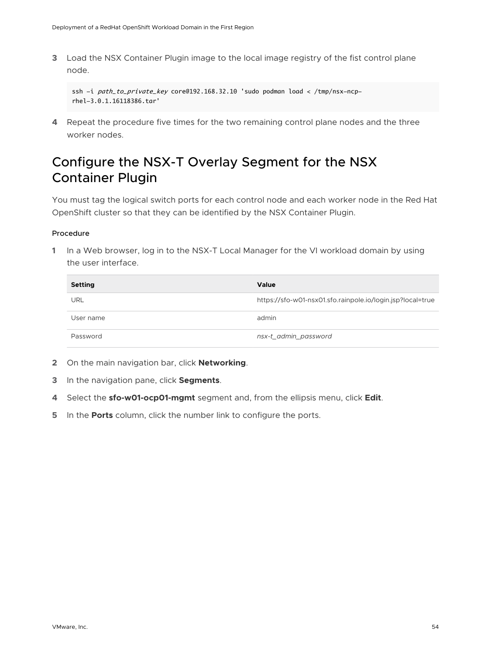<span id="page-53-0"></span>**3** Load the NSX Container Plugin image to the local image registry of the fist control plane node.

```
ssh -i path_to_private_key core@192.168.32.10 'sudo podman load < /tmp/nsx-ncp-
rhel-3.0.1.16118386.tar'
```
**4** Repeat the procedure five times for the two remaining control plane nodes and the three worker nodes.

## Configure the NSX-T Overlay Segment for the NSX Container Plugin

You must tag the logical switch ports for each control node and each worker node in the Red Hat OpenShift cluster so that they can be identified by the NSX Container Plugin.

#### Procedure

| <b>Setting</b> | <b>Value</b>                                               |
|----------------|------------------------------------------------------------|
| URL            | https://sfo-w01-nsx01.sfo.rainpole.io/login.jsp?local=true |
| User name      | admin                                                      |
| Password       | nsx-t_admin_password                                       |

- **2** On the main navigation bar, click **Networking**.
- **3** In the navigation pane, click **Segments**.
- **4** Select the **sfo-w01-ocp01-mgmt** segment and, from the ellipsis menu, click **Edit**.
- **5** In the **Ports** column, click the number link to configure the ports.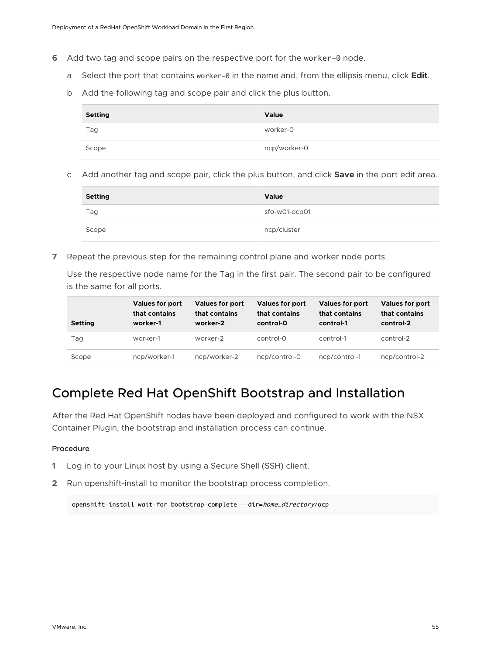- <span id="page-54-0"></span>**6** Add two tag and scope pairs on the respective port for the worker-0 node.
	- a Select the port that contains worker-0 in the name and, from the ellipsis menu, click **Edit**.
	- b Add the following tag and scope pair and click the plus button.

| Setting | Value        |
|---------|--------------|
| Tag     | worker-0     |
| Scope   | ncp/worker-0 |

c Add another tag and scope pair, click the plus button, and click **Save** in the port edit area.

| <b>Setting</b> | Value         |
|----------------|---------------|
| Tag            | sfo-w01-ocp01 |
| Scope          | ncp/cluster   |

**7** Repeat the previous step for the remaining control plane and worker node ports.

Use the respective node name for the Tag in the first pair. The second pair to be configured is the same for all ports.

| <b>Setting</b> | <b>Values for port</b><br>that contains<br>worker-1 | <b>Values for port</b><br>that contains<br>worker-2 | <b>Values for port</b><br>that contains<br>control-0 | <b>Values for port</b><br>that contains<br>control-1 | <b>Values for port</b><br>that contains<br>control-2 |
|----------------|-----------------------------------------------------|-----------------------------------------------------|------------------------------------------------------|------------------------------------------------------|------------------------------------------------------|
| Tag            | worker-1                                            | worker-2                                            | $control-0$                                          | control-1                                            | control-2                                            |
| Scope          | ncp/worker-1                                        | ncp/worker-2                                        | ncp/control-0                                        | ncp/control-1                                        | ncp/control-2                                        |

### Complete Red Hat OpenShift Bootstrap and Installation

After the Red Hat OpenShift nodes have been deployed and configured to work with the NSX Container Plugin, the bootstrap and installation process can continue.

#### Procedure

- **1** Log in to your Linux host by using a Secure Shell (SSH) client.
- **2** Run openshift-install to monitor the bootstrap process completion.

openshift-install wait-for bootstrap-complete --dir=home\_directory/ocp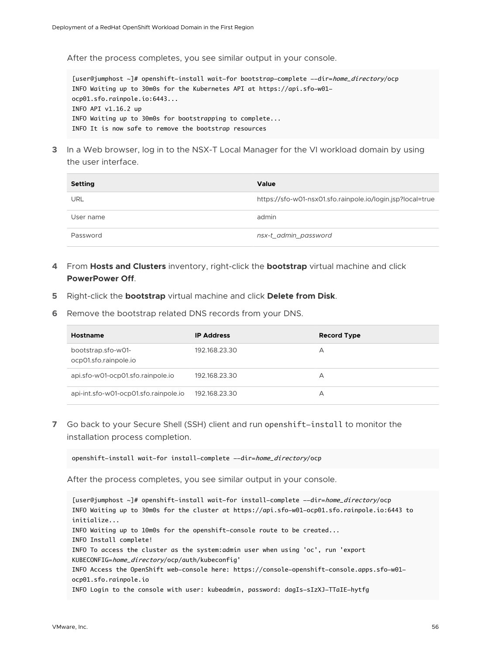After the process completes, you see similar output in your console.

[user@jumphost ~]# openshift-install wait-for bootstrap-complete --dir=home\_directory/ocp INFO Waiting up to 30m0s for the Kubernetes API at https://api.sfo-w01 ocp01.sfo.rainpole.io:6443... INFO API v1.16.2 up INFO Waiting up to 30m0s for bootstrapping to complete... INFO It is now safe to remove the bootstrap resources

**3** In a Web browser, log in to the NSX-T Local Manager for the VI workload domain by using the user interface.

| <b>Setting</b> | <b>Value</b>                                               |
|----------------|------------------------------------------------------------|
| URL            | https://sfo-w01-nsx01.sfo.rainpole.io/login.jsp?local=true |
| User name      | admin                                                      |
| Password       | nsx-t_admin_password                                       |

- **4** From **Hosts and Clusters** inventory, right-click the **bootstrap** virtual machine and click **PowerPower Off**.
- **5** Right-click the **bootstrap** virtual machine and click **Delete from Disk**.
- **6** Remove the bootstrap related DNS records from your DNS.

| Hostname                                    | <b>IP Address</b> | <b>Record Type</b> |
|---------------------------------------------|-------------------|--------------------|
| bootstrap.sfo-w01-<br>ocp01.sfo.rainpole.io | 192.168.23.30     | А                  |
| api.sfo-w01-ocp01.sfo.rainpole.jo           | 192.168.23.30     | А                  |
| api-int.sfo-w01-ocp01.sfo.rainpole.jo       | 192.168.23.30     | А                  |

**7** Go back to your Secure Shell (SSH) client and run openshift-install to monitor the installation process completion.

openshift-install wait-for install-complete --dir=home\_directory/ocp

After the process completes, you see similar output in your console.

[user@jumphost ~]# openshift-install wait-for install-complete --dir=home\_directory/ocp INFO Waiting up to 30m0s for the cluster at https://api.sfo-w01-ocp01.sfo.rainpole.io:6443 to initialize... INFO Waiting up to 10m0s for the openshift-console route to be created... INFO Install complete! INFO To access the cluster as the system:admin user when using 'oc', run 'export KUBECONFIG=home\_directory/ocp/auth/kubeconfig' INFO Access the OpenShift web-console here: https://console-openshift-console.apps.sfo-w01 ocp01.sfo.rainpole.io INFO Login to the console with user: kubeadmin, password: dagIs-sIzXJ-TTaIE-hytfg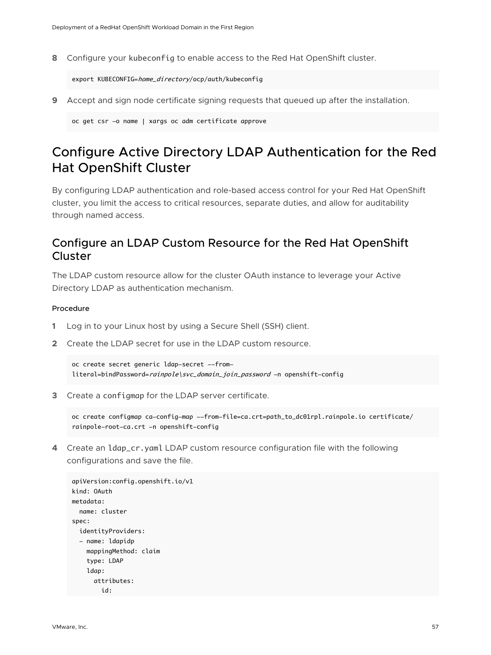<span id="page-56-0"></span>**8** Configure your kubeconfig to enable access to the Red Hat OpenShift cluster.

export KUBECONFIG=home\_directory/ocp/auth/kubeconfig

**9** Accept and sign node certificate signing requests that queued up after the installation.

oc get csr -o name | xargs oc adm certificate approve

## Configure Active Directory LDAP Authentication for the Red Hat OpenShift Cluster

By configuring LDAP authentication and role-based access control for your Red Hat OpenShift cluster, you limit the access to critical resources, separate duties, and allow for auditability through named access.

### Configure an LDAP Custom Resource for the Red Hat OpenShift Cluster

The LDAP custom resource allow for the cluster OAuth instance to leverage your Active Directory LDAP as authentication mechanism.

#### Procedure

- **1** Log in to your Linux host by using a Secure Shell (SSH) client.
- **2** Create the LDAP secret for use in the LDAP custom resource.

```
oc create secret generic ldap-secret --from-
literal=bindPassword=rainpole\svc_domain_join_password -n openshift-config
```
**3** Create a configmap for the LDAP server certificate.

```
oc create configmap ca-config-map --from-file=ca.crt=path_to_dc01rpl.rainpole.io certificate/
rainpole-root-ca.crt -n openshift-config
```
**4** Create an ldap\_cr.yaml LDAP custom resource configuration file with the following configurations and save the file.

```
apiVersion:config.openshift.io/v1
kind: OAuth
metadata:
   name: cluster
spec:
   identityProviders:
   - name: ldapidp
     mappingMethod: claim
     type: LDAP
     ldap:
       attributes:
         id:
```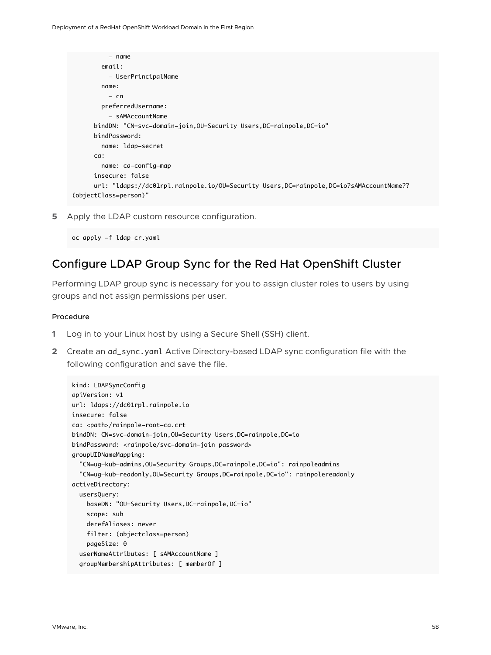```
 - name
         email:
           - UserPrincipalName
         name:
          - cn
         preferredUsername:
           - sAMAccountName 
       bindDN: "CN=svc-domain-join,OU=Security Users,DC=rainpole,DC=io"
       bindPassword:
         name: ldap-secret
       ca:
         name: ca-config-map
       insecure: false
      url: "ldaps://dc01rpl.rainpole.io/OU=Security Users,DC=rainpole,DC=io?sAMAccountName??
(objectClass=person)"
```
**5** Apply the LDAP custom resource configuration.

```
oc apply -f ldap_cr.yaml
```
### Configure LDAP Group Sync for the Red Hat OpenShift Cluster

Performing LDAP group sync is necessary for you to assign cluster roles to users by using groups and not assign permissions per user.

#### Procedure

- **1** Log in to your Linux host by using a Secure Shell (SSH) client.
- **2** Create an ad\_sync.yaml Active Directory-based LDAP sync configuration file with the following configuration and save the file.

```
kind: LDAPSyncConfig
apiVersion: v1
url: ldaps://dc01rpl.rainpole.io
insecure: false
ca: <path>/rainpole-root-ca.crt
bindDN: CN=svc-domain-join,OU=Security Users,DC=rainpole,DC=io
bindPassword: <rainpole/svc-domain-join password>
groupUIDNameMapping:
   "CN=ug-kub-admins,OU=Security Groups,DC=rainpole,DC=io": rainpoleadmins
   "CN=ug-kub-readonly,OU=Security Groups,DC=rainpole,DC=io": rainpolereadonly
activeDirectory: 
   usersQuery:
     baseDN: "OU=Security Users,DC=rainpole,DC=io"
     scope: sub
     derefAliases: never
     filter: (objectclass=person)
     pageSize: 0
   userNameAttributes: [ sAMAccountName ]
   groupMembershipAttributes: [ memberOf ]
```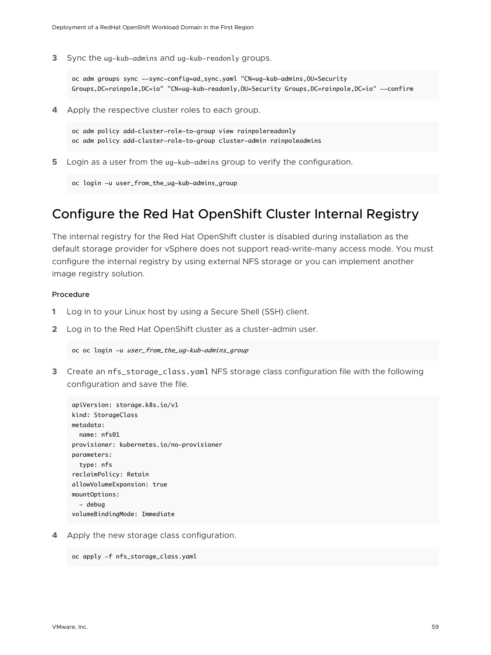<span id="page-58-0"></span>**3** Sync the ug-kub-admins and ug-kub-readonly groups.

oc adm groups sync --sync-config=ad\_sync.yaml "CN=ug-kub-admins,OU=Security Groups,DC=rainpole,DC=io" "CN=ug-kub-readonly,OU=Security Groups,DC=rainpole,DC=io" --confirm

**4** Apply the respective cluster roles to each group.

oc adm policy add-cluster-role-to-group view rainpolereadonly oc adm policy add-cluster-role-to-group cluster-admin rainpoleadmins

**5** Login as a user from the ug-kub-admins group to verify the configuration.

```
oc login -u user_from_the_ug-kub-admins_group
```
### Configure the Red Hat OpenShift Cluster Internal Registry

The internal registry for the Red Hat OpenShift cluster is disabled during installation as the default storage provider for vSphere does not support read-write-many access mode. You must configure the internal registry by using external NFS storage or you can implement another image registry solution.

#### Procedure

- **1** Log in to your Linux host by using a Secure Shell (SSH) client.
- **2** Log in to the Red Hat OpenShift cluster as a cluster-admin user.

```
oc oc login -u user_from_the_ug-kub-admins_group
```
**3** Create an nfs\_storage\_class.yaml NFS storage class configuration file with the following configuration and save the file.

```
apiVersion: storage.k8s.io/v1
kind: StorageClass
metadata:
  name: nfs01
provisioner: kubernetes.io/no-provisioner
parameters:
   type: nfs
reclaimPolicy: Retain
allowVolumeExpansion: true
mountOptions:
  - debug
volumeBindingMode: Immediate
```
**4** Apply the new storage class configuration.

```
oc apply -f nfs_storage_class.yaml
```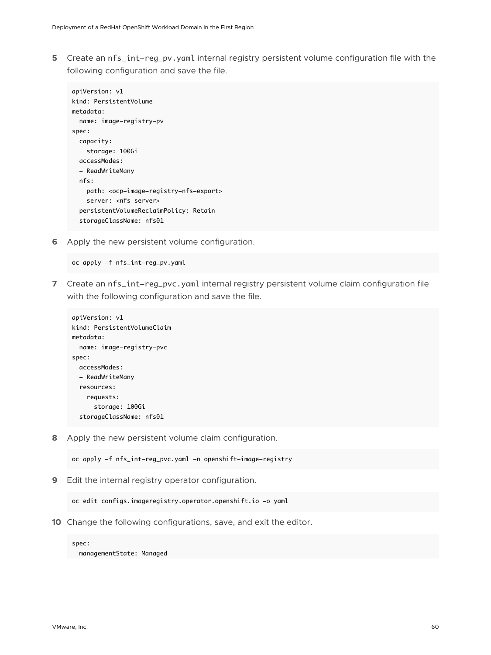**5** Create an nfs\_int-reg\_pv.yaml internal registry persistent volume configuration file with the following configuration and save the file.

```
apiVersion: v1
kind: PersistentVolume
metadata:
   name: image-registry-pv
spec:
   capacity:
    storage: 100Gi
   accessModes:
   - ReadWriteMany
   nfs:
     path: <ocp-image-registry-nfs-export>
    server: < nfs server>
   persistentVolumeReclaimPolicy: Retain
   storageClassName: nfs01
```
**6** Apply the new persistent volume configuration.

oc apply -f nfs\_int-reg\_pv.yaml

**7** Create an nfs\_int-reg\_pvc.yaml internal registry persistent volume claim configuration file with the following configuration and save the file.

```
apiVersion: v1
kind: PersistentVolumeClaim
metadata:
  name: image-registry-pvc
spec:
  accessModes:
   - ReadWriteMany
  resources:
     requests:
       storage: 100Gi
   storageClassName: nfs01
```
**8** Apply the new persistent volume claim configuration.

oc apply -f nfs\_int-reg\_pvc.yaml -n openshift-image-registry

**9** Edit the internal registry operator configuration.

```
oc edit configs.imageregistry.operator.openshift.io -o yaml
```
**10** Change the following configurations, save, and exit the editor.

spec: managementState: Managed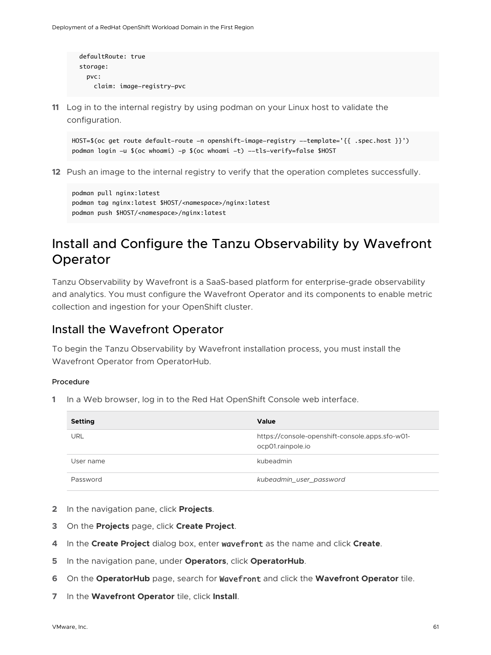```
 defaultRoute: true
 storage:
   pvc:
     claim: image-registry-pvc
```
**11** Log in to the internal registry by using podman on your Linux host to validate the configuration.

```
HOST=$(oc get route default-route -n openshift-image-registry --template='{{ .spec.host }}')
podman login -u $(oc whoami) -p $(oc whoami -t) --tls-verify=false $HOST
```
**12** Push an image to the internal registry to verify that the operation completes successfully.

```
podman pull nginx:latest
podman tag nginx:latest $HOST/<namespace>/nginx:latest
podman push $HOST/<namespace>/nginx:latest
```
## Install and Configure the Tanzu Observability by Wavefront Operator

Tanzu Observability by Wavefront is a SaaS-based platform for enterprise-grade observability and analytics. You must configure the Wavefront Operator and its components to enable metric collection and ingestion for your OpenShift cluster.

### Install the Wavefront Operator

To begin the Tanzu Observability by Wavefront installation process, you must install the Wavefront Operator from OperatorHub.

#### Procedure

**1** In a Web browser, log in to the Red Hat OpenShift Console web interface.

| <b>Setting</b> | Value                                                                |
|----------------|----------------------------------------------------------------------|
| URL            | https://console-openshift-console.apps.sfo-w01-<br>ocp01.rainpole.io |
| User name      | kubeadmin                                                            |
| Password       | kubeadmin_user_password                                              |

- **2** In the navigation pane, click **Projects**.
- **3** On the **Projects** page, click **Create Project**.
- **4** In the **Create Project** dialog box, enter wavefront as the name and click **Create**.
- **5** In the navigation pane, under **Operators**, click **OperatorHub**.
- **6** On the **OperatorHub** page, search for Wavefront and click the **Wavefront Operator** tile.
- **7** In the **Wavefront Operator** tile, click **Install**.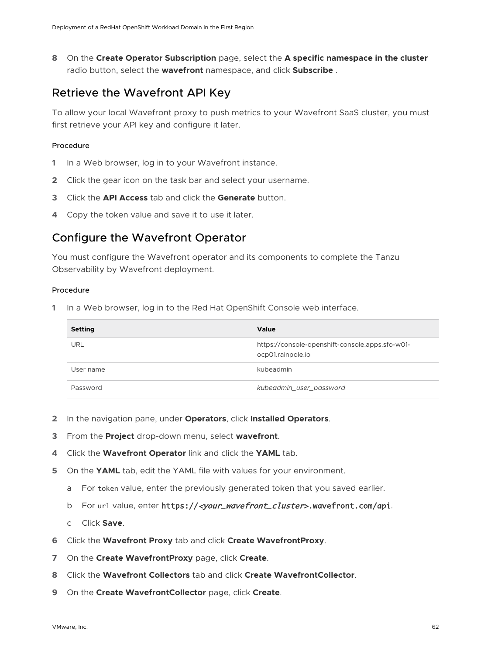<span id="page-61-0"></span>**8** On the **Create Operator Subscription** page, select the **A specific namespace in the cluster**  radio button, select the **wavefront** namespace, and click **Subscribe** .

### Retrieve the Wavefront API Key

To allow your local Wavefront proxy to push metrics to your Wavefront SaaS cluster, you must first retrieve your API key and configure it later.

#### Procedure

- **1** In a Web browser, log in to your Wavefront instance.
- **2** Click the gear icon on the task bar and select your username.
- **3** Click the **API Access** tab and click the **Generate** button.
- **4** Copy the token value and save it to use it later.

### Configure the Wavefront Operator

You must configure the Wavefront operator and its components to complete the Tanzu Observability by Wavefront deployment.

#### Procedure

**1** In a Web browser, log in to the Red Hat OpenShift Console web interface.

| <b>Setting</b> | Value                                                                |
|----------------|----------------------------------------------------------------------|
| <b>URL</b>     | https://console-openshift-console.apps.sfo-w01-<br>ocp01.rainpole.io |
| User name      | kubeadmin                                                            |
| Password       | kubeadmin_user_password                                              |

- **2** In the navigation pane, under **Operators**, click **Installed Operators**.
- **3** From the **Project** drop-down menu, select **wavefront**.
- **4** Click the **Wavefront Operator** link and click the **YAML** tab.
- **5** On the **YAML** tab, edit the YAML file with values for your environment.
	- a For token value, enter the previously generated token that you saved earlier.
	- b For url value, enter https://<your\_wavefront\_cluster>.wavefront.com/api.
	- c Click **Save**.
- **6** Click the **Wavefront Proxy** tab and click **Create WavefrontProxy**.
- **7** On the **Create WavefrontProxy** page, click **Create**.
- **8** Click the **Wavefront Collectors** tab and click **Create WavefrontCollector**.
- **9** On the **Create WavefrontCollector** page, click **Create**.